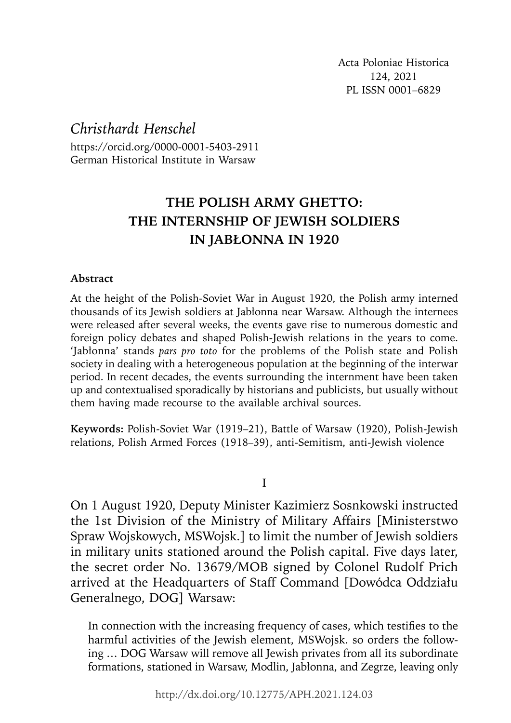Acta Poloniae Historica 124, 2021 PL ISSN 0001–6829

*Christhardt Henschel*

https://orcid.org/0000-0001-5403-2911 German Historical Institute in Warsaw

# **THE POLISH ARMY GHETTO: THE INTERNSHIP OF JEWISH SOLDIERS IN JABŁONNA IN 1920**

## **Abstract**

At the height of the Polish-Soviet War in August 1920, the Polish army interned thousands of its Jewish soldiers at Jabłonna near Warsaw. Although the internees were released after several weeks, the events gave rise to numerous domestic and foreign policy debates and shaped Polish-Jewish relations in the years to come. 'Jabłonna' stands *pars pro toto* for the problems of the Polish state and Polish society in dealing with a heterogeneous population at the beginning of the interwar period. In recent decades, the events surrounding the internment have been taken up and contextualised sporadically by historians and publicists, but usually without them having made recourse to the available archival sources.

**Keywords:** Polish-Soviet War (1919–21), Battle of Warsaw (1920), Polish-Jewish relations, Polish Armed Forces (1918–39), anti-Semitism, anti-Jewish violence

I

On 1 August 1920, Deputy Minister Kazimierz Sosnkowski instructed the 1st Division of the Ministry of Military Affairs [Ministerstwo Spraw Wojskowych, MSWojsk.] to limit the number of Jewish soldiers in military units stationed around the Polish capital. Five days later, the secret order No. 13679/MOB signed by Colonel Rudolf Prich arrived at the Headquarters of Staff Command [Dowódca Oddziału Generalnego, DOG] Warsaw:

In connection with the increasing frequency of cases, which testifies to the harmful activities of the Jewish element, MSWojsk. so orders the following … DOG Warsaw will remove all Jewish privates from all its subordinate formations, stationed in Warsaw, Modlin, Jabłonna, and Zegrze, leaving only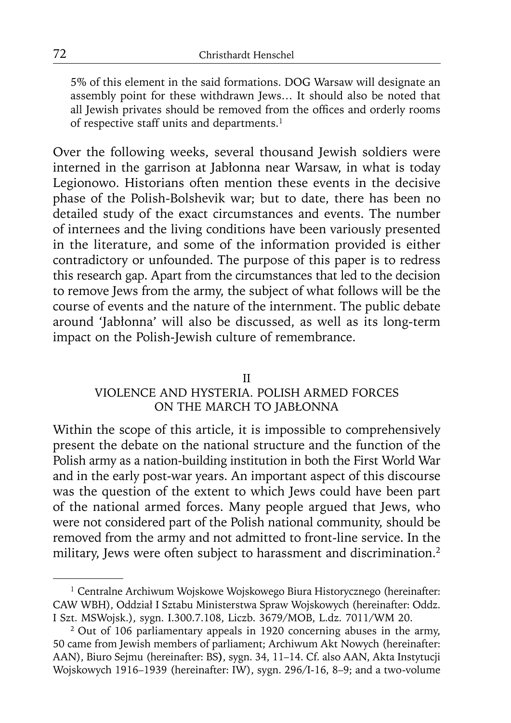5% of this element in the said formations. DOG Warsaw will designate an assembly point for these withdrawn Jews… It should also be noted that all Jewish privates should be removed from the offices and orderly rooms of respective staff units and departments.<sup>1</sup>

Over the following weeks, several thousand Jewish soldiers were interned in the garrison at Jabłonna near Warsaw, in what is today Legionowo. Historians often mention these events in the decisive phase of the Polish-Bolshevik war; but to date, there has been no detailed study of the exact circumstances and events. The number of internees and the living conditions have been variously presented in the literature, and some of the information provided is either contradictory or unfounded. The purpose of this paper is to redress this research gap. Apart from the circumstances that led to the decision to remove Jews from the army, the subject of what follows will be the course of events and the nature of the internment. The public debate around 'Jabłonna' will also be discussed, as well as its long-term impact on the Polish-Jewish culture of remembrance.

#### II

# VIOLENCE AND HYSTERIA. POLISH ARMED FORCES ON THE MARCH TO JABŁONNA

Within the scope of this article, it is impossible to comprehensively present the debate on the national structure and the function of the Polish army as a nation-building institution in both the First World War and in the early post-war years. An important aspect of this discourse was the question of the extent to which Jews could have been part of the national armed forces. Many people argued that Jews, who were not considered part of the Polish national community, should be removed from the army and not admitted to front-line service. In the military, Jews were often subject to harassment and discrimination.<sup>2</sup>

<sup>&</sup>lt;sup>1</sup> Centralne Archiwum Wojskowe Wojskowego Biura Historycznego (hereinafter: CAW WBH), Oddział I Sztabu Ministerstwa Spraw Wojskowych (hereinafter: Oddz. I Szt. MSWojsk.), sygn. I.300.7.108, Liczb. 3679/MOB, L.dz. 7011/WM 20.

<sup>&</sup>lt;sup>2</sup> Out of 106 parliamentary appeals in 1920 concerning abuses in the army, 50 came from Jewish members of parliament; Archiwum Akt Nowych (hereinafter: AAN), Biuro Sejmu (hereinafter: BS**)**, sygn. 34, 11–14. Cf. also AAN, Akta Instytucji Wojskowych 1916–1939 (hereinafter: IW), sygn. 296/I-16, 8–9; and a two-volume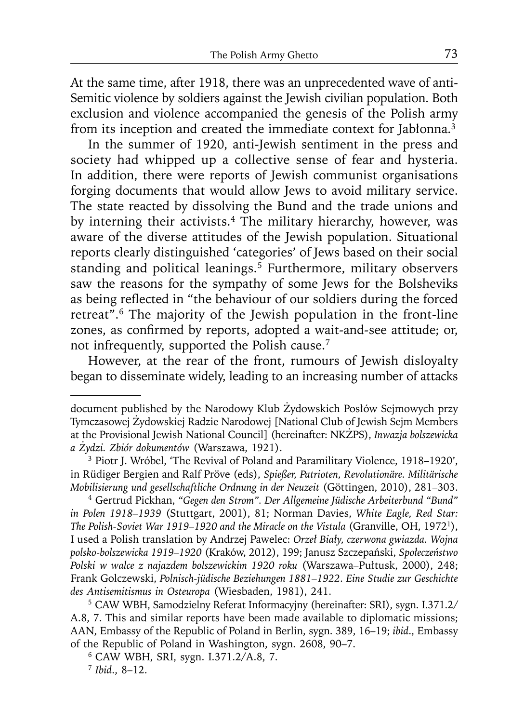At the same time, after 1918, there was an unprecedented wave of anti-Semitic violence by soldiers against the Jewish civilian population. Both exclusion and violence accompanied the genesis of the Polish army from its inception and created the immediate context for Jabłonna.3

In the summer of 1920, anti-Jewish sentiment in the press and society had whipped up a collective sense of fear and hysteria. In addition, there were reports of Jewish communist organisations forging documents that would allow Jews to avoid military service. The state reacted by dissolving the Bund and the trade unions and by interning their activists.<sup>4</sup> The military hierarchy, however, was aware of the diverse attitudes of the Jewish population. Situational reports clearly distinguished 'categories' of Jews based on their social standing and political leanings.<sup>5</sup> Furthermore, military observers saw the reasons for the sympathy of some Jews for the Bolsheviks as being reflected in "the behaviour of our soldiers during the forced retreat".6 The majority of the Jewish population in the front-line zones, as confirmed by reports, adopted a wait-and-see attitude; or, not infrequently, supported the Polish cause.7

However, at the rear of the front, rumours of Jewish disloyalty began to disseminate widely, leading to an increasing number of attacks

A.8, 7. This and similar reports have been made available to diplomatic missions; AAN, Embassy of the Republic of Poland in Berlin, sygn. 389, 16–19; *ibid*., Embassy of the Republic of Poland in Washington, sygn. 2608, 90–7. 6 CAW WBH, SRI, sygn. I.371.2/A.8, 7.

document published by the Narodowy Klub Żydowskich Posłów Sejmowych przy Tymczasowej Żydowskiej Radzie Narodowej [National Club of Jewish Sejm Members at the Provisional Jewish National Council] (hereinafter: NKŻPS), *Inwazja bolszewicka a Żydzi. Zbiór dokumentów* (Warszawa, 1921).

<sup>3</sup> Piotr J. Wróbel, 'The Revival of Poland and Paramilitary Violence, 1918–1920', in Rüdiger Bergien and Ralf Pröve (eds), *Spießer, Patrioten, Revolutionäre. Militärische Mobilisierung und gesellschaftliche Ordnung in der Neuzeit* (Göttingen, 2010), 281–303.

<sup>4</sup> Gertrud Pickhan, *"Gegen den Strom". Der Allgemeine Jüdische Arbeiterbund "Bund" in Polen 1918–1939* (Stuttgart, 2001), 81; Norman Davies, *White Eagle, Red Star: The Polish-Soviet War 1919–1920 and the Miracle on the Vistula* (Granville, OH, 19721), I used a Polish translation by Andrzej Pawelec: *Orzeł Biały, czerwona gwiazda. Wojna polsko-bolszewicka 1919–1920* (Kraków, 2012), 199; Janusz Szczepański, *Społeczeństwo Polski w walce z najazdem bolszewickim 1920 roku* (Warszawa–Pułtusk, 2000), 248; Frank Golczewski, *Polnisch-jüdische Beziehungen 1881–1922*. *Eine Studie zur Geschichte des Antisemitismus in Osteuropa* (Wiesbaden, 1981), 241. 5 CAW WBH, Samodzielny Referat Informacyjny (hereinafter: SRI), sygn. I.371.2/

<sup>7</sup> *Ibid*., 8–12.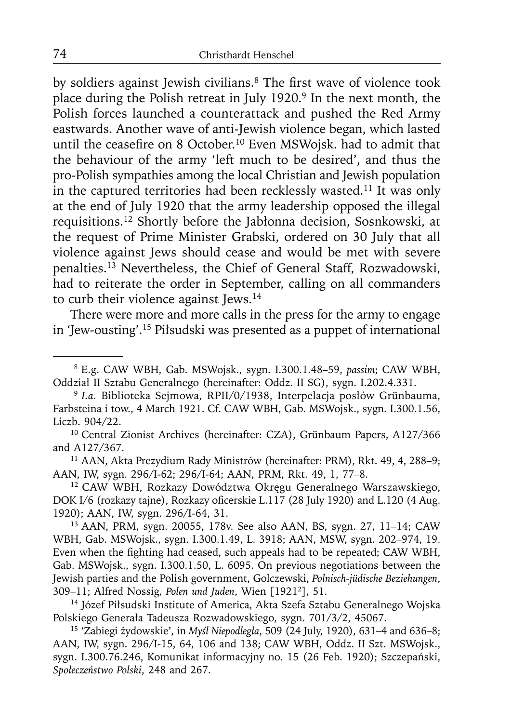by soldiers against Jewish civilians.<sup>8</sup> The first wave of violence took place during the Polish retreat in July 1920.<sup>9</sup> In the next month, the Polish forces launched a counterattack and pushed the Red Army eastwards. Another wave of anti-Jewish violence began, which lasted until the ceasefire on 8 October.<sup>10</sup> Even MSWojsk. had to admit that the behaviour of the army 'left much to be desired', and thus the pro-Polish sympathies among the local Christian and Jewish population in the captured territories had been recklessly wasted.11 It was only at the end of July 1920 that the army leadership opposed the illegal requisitions.12 Shortly before the Jabłonna decision, Sosnkowski, at the request of Prime Minister Grabski, ordered on 30 July that all violence against Jews should cease and would be met with severe penalties.13 Nevertheless, the Chief of General Staff, Rozwadowski, had to reiterate the order in September, calling on all commanders to curb their violence against Jews.<sup>14</sup>

There were more and more calls in the press for the army to engage in 'Jew-ousting'.15 Piłsudski was presented as a puppet of international

and A127/367.<br><sup>11</sup> AAN, Akta Prezydium Rady Ministrów (hereinafter: PRM), Rkt. 49, 4, 288–9;<br>AAN, IW, sygn. 296/1-62; 296/1-64; AAN, PRM, Rkt. 49, 1, 77–8.

<sup>12</sup> CAW WBH, Rozkazy Dowództwa Okręgu Generalnego Warszawskiego, DOK I/6 (rozkazy tajne), Rozkazy oficerskie L.117 (28 July 1920) and L.120 (4 Aug. 1920); AAN, IW, sygn. 296/I-64, 31.

13 AAN, PRM, sygn. 20055, 178v. See also AAN, BS, sygn. 27, 11–14; CAW WBH, Gab. MSWojsk., sygn. I.300.1.49, L. 3918; AAN, MSW, sygn. 202–974, 19. Even when the fighting had ceased, such appeals had to be repeated; CAW WBH, Gab. MSWojsk., sygn. I.300.1.50, L. 6095. On previous negotiations between the Jewish parties and the Polish government, Golczewski, *Polnisch-jüdische Beziehungen*,

<sup>14</sup> Józef Piłsudski Institute of America, Akta Szefa Sztabu Generalnego Wojska Polskiego Generała Tadeusza Rozwadowskiego, sygn. 701/3/2, 45067. 15 'Zabiegi żydowskie', in *Myśl Niepodległa*, 509 (24 July, 1920), 631–4 and 636–8;

AAN, IW, sygn. 296/I-15, 64, 106 and 138; CAW WBH, Oddz. II Szt. MSWojsk., sygn. I.300.76.246, Komunikat informacyjny no. 15 (26 Feb. 1920); Szczepański, *Społeczeństwo Polski*, 248 and 267.

<sup>8</sup> E.g. CAW WBH, Gab. MSWojsk., sygn. I.300.1.48–59, *passim*; CAW WBH, Oddział II Sztabu Generalnego (hereinafter: Oddz. II SG), sygn. I.202.4.331.

<sup>9</sup>*I.a.* Biblioteka Sejmowa, RPII/0/1938, Interpelacja posłów Grünbauma, Farbsteina i tow., 4 March 1921. Cf. CAW WBH, Gab. MSWojsk., sygn. I.300.1.56, Liczb. 904/22. 10 Central Zionist Archives (hereinafter: CZA), Grünbaum Papers, A127/366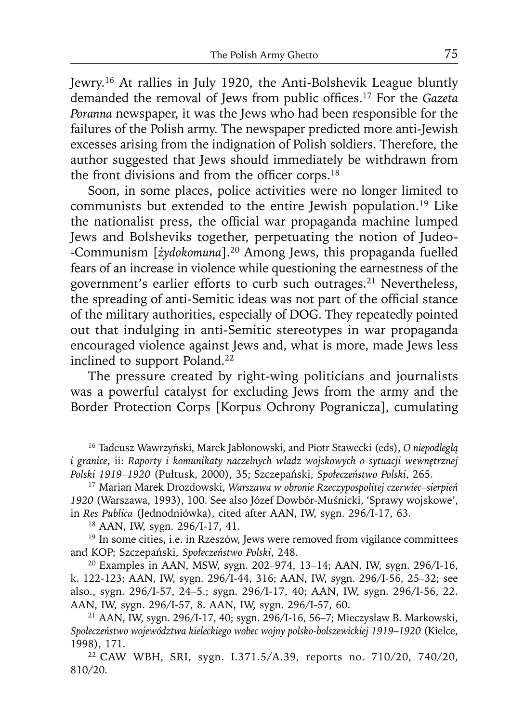Jewry.16 At rallies in July 1920, the Anti-Bolshevik League bluntly demanded the removal of Jews from public offices.<sup>17</sup> For the *Gazeta Poranna* newspaper, it was the Jews who had been responsible for the failures of the Polish army. The newspaper predicted more anti-Jewish excesses arising from the indignation of Polish soldiers. Therefore, the author suggested that Jews should immediately be withdrawn from the front divisions and from the officer corps. $18$ 

Soon, in some places, police activities were no longer limited to communists but extended to the entire Jewish population.19 Like the nationalist press, the official war propaganda machine lumped Jews and Bolsheviks together, perpetuating the notion of Judeo- -Communism [*żydokomuna*].20 Among Jews, this propaganda fuelled fears of an increase in violence while questioning the earnestness of the government's earlier efforts to curb such outrages.21 Nevertheless, the spreading of anti-Semitic ideas was not part of the official stance of the military authorities, especially of DOG. They repeatedly pointed out that indulging in anti-Semitic stereotypes in war propaganda encouraged violence against Jews and, what is more, made Jews less inclined to support Poland.<sup>22</sup>

The pressure created by right-wing politicians and journalists was a powerful catalyst for excluding Jews from the army and the Border Protection Corps [Korpus Ochrony Pogranicza], cumulating

<sup>16</sup> Tadeusz Wawrzyński, Marek Jabłonowski, and Piotr Stawecki (eds), *O niepodległą i granice*, ii: *Raporty i komunikaty naczelnych władz wojskowych o sytuacji wewnętrznej* 

<sup>&</sup>lt;sup>17</sup> Marian Marek Drozdowski, Warszawa w obronie Rzeczypospolitej czerwiec-sierpień *1920* (Warszawa, 1993), 100. See also Józef Dowbór-Muśnicki, 'Sprawy wojskowe', in *Res Publica* (Jednodniówka), cited after AAN, IW, sygn. 296/I-17, 63. 18 AAN, IW, sygn. 296/I-17, 41.

<sup>&</sup>lt;sup>19</sup> In some cities, i.e. in Rzeszów, Jews were removed from vigilance committees and KOP; Szczepański, Społeczeństwo Polski, 248.

<sup>&</sup>lt;sup>20</sup> Examples in AAN, MSW, sygn. 202–974, 13–14; AAN, IW, sygn. 296/I-16, k. 122-123; AAN, IW, sygn. 296/I-44, 316; AAN, IW, sygn. 296/I-56, 25–32; see also., sygn. 296/I-57, 24–5.; sygn. 296/I-17, 40; AAN, IW, sygn. 296/I-56, 22.

<sup>&</sup>lt;sup>21</sup> AAN, IW, sygn. 296/I-17, 40; sygn. 296/I-16, 56–7; Mieczysław B. Markowski, *Społeczeństwo województwa kieleckiego wobec wojny polsko-bolszewickiej 1919*–*1920* (Kielce, 1998), 171.

<sup>22</sup> CAW WBH, SRI, sygn. I.371.5/A.39, reports no. 710/20, 740/20, 810/20.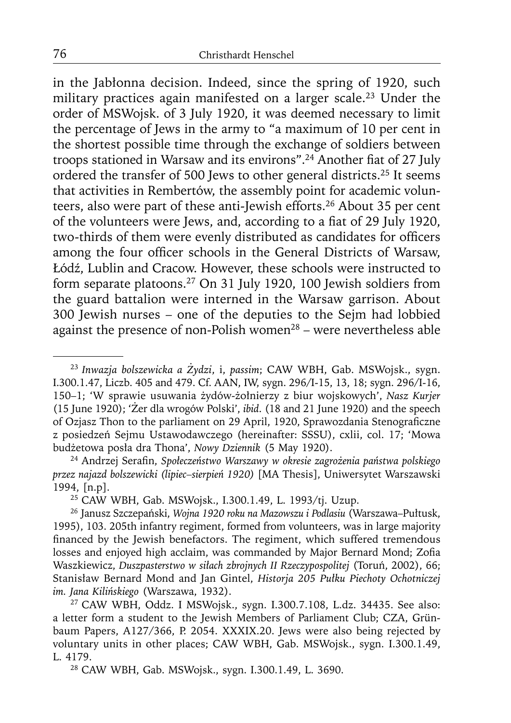in the Jabłonna decision. Indeed, since the spring of 1920, such military practices again manifested on a larger scale.23 Under the order of MSWojsk. of 3 July 1920, it was deemed necessary to limit the percentage of Jews in the army to "a maximum of 10 per cent in the shortest possible time through the exchange of soldiers between troops stationed in Warsaw and its environs".<sup>24</sup> Another fiat of 27 July ordered the transfer of 500 Jews to other general districts.25 It seems that activities in Rembertów, the assembly point for academic volunteers, also were part of these anti-Jewish efforts.<sup>26</sup> About 35 per cent of the volunteers were Jews, and, according to a fiat of 29 July 1920, two-thirds of them were evenly distributed as candidates for officers among the four officer schools in the General Districts of Warsaw, Łódź, Lublin and Cracow. However, these schools were instructed to form separate platoons.27 On 31 July 1920, 100 Jewish soldiers from the guard battalion were interned in the Warsaw garrison. About 300 Jewish nurses – one of the deputies to the Sejm had lobbied against the presence of non-Polish women<sup>28</sup> – were nevertheless able

24 Andrzej Serafi n, *Społeczeństwo Warszawy w okresie zagrożenia państwa polskiego przez najazd bolszewicki (lipiec–sierpień 1920)* [MA Thesis], Uniwersytet Warszawski 1994, [n.p]. 25 CAW WBH, Gab. MSWojsk., I.300.1.49, L. 1993/tj. Uzup. 26 Janusz Szczepański, *Wojna 1920 roku na Mazowszu i Podlasiu* (Warszawa–Pułtusk,

a letter form a student to the Jewish Members of Parliament Club; CZA, Grünbaum Papers, A127/366, P. 2054. XXXIX.20. Jews were also being rejected by voluntary units in other places; CAW WBH, Gab. MSWojsk., sygn. I.300.1.49, L. 4179. 28 CAW WBH, Gab. MSWojsk., sygn. I.300.1.49, L. 3690.

<sup>23</sup>*Inwazja bolszewicka a Żydzi*, i, *passim*; CAW WBH, Gab. MSWojsk., sygn. I.300.1.47, Liczb. 405 and 479. Cf. AAN, IW, sygn. 296/I-15, 13, 18; sygn. 296/I-16, 150–1; 'W sprawie usuwania żydów-żołnierzy z biur wojskowych', *Nasz Kurjer* (15 June 1920); 'Żer dla wrogów Polski', *ibid*. (18 and 21 June 1920) and the speech of Ozjasz Thon to the parliament on 29 April, 1920, Sprawozdania Stenograficzne z posiedzeń Sejmu Ustawodawczego (hereinafter: SSSU), cxlii, col. 17; 'Mowa budżetowa posła dra Thona', *Nowy Dziennik* (5 May 1920).

<sup>1995), 103. 205</sup>th infantry regiment, formed from volunteers, was in large majority financed by the Jewish benefactors. The regiment, which suffered tremendous losses and enjoyed high acclaim, was commanded by Major Bernard Mond; Zofia Waszkiewicz, *Duszpasterstwo w siłach zbrojnych II Rzeczypospolitej* (Toruń, 2002), 66; Stanisław Bernard Mond and Jan Gintel, *Historja 205 Pułku Piechoty Ochotniczej im. Jana Kilińskiego* (Warszawa, 1932). 27 CAW WBH, Oddz. I MSWojsk., sygn. I.300.7.108, L.dz. 34435. See also: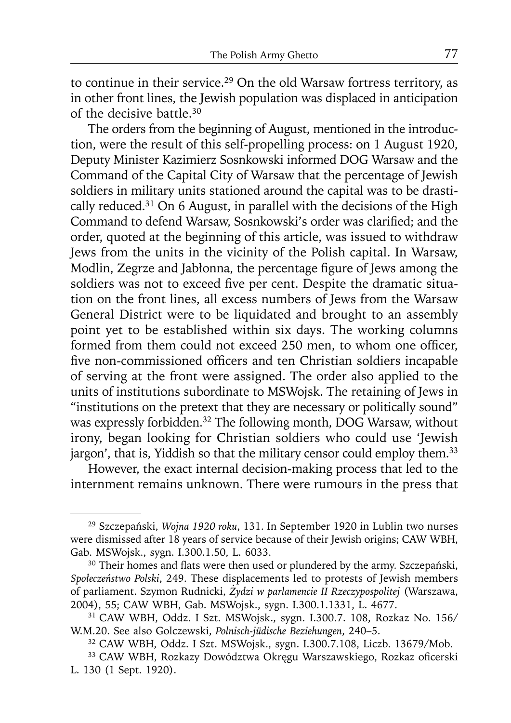to continue in their service.<sup>29</sup> On the old Warsaw fortress territory, as in other front lines, the Jewish population was displaced in anticipation of the decisive battle.30

The orders from the beginning of August, mentioned in the introduction, were the result of this self-propelling process: on 1 August 1920, Deputy Minister Kazimierz Sosnkowski informed DOG Warsaw and the Command of the Capital City of Warsaw that the percentage of Jewish soldiers in military units stationed around the capital was to be drastically reduced.31 On 6 August, in parallel with the decisions of the High Command to defend Warsaw, Sosnkowski's order was clarified; and the order, quoted at the beginning of this article, was issued to withdraw Jews from the units in the vicinity of the Polish capital. In Warsaw, Modlin, Zegrze and Jabłonna, the percentage figure of Jews among the soldiers was not to exceed five per cent. Despite the dramatic situation on the front lines, all excess numbers of Jews from the Warsaw General District were to be liquidated and brought to an assembly point yet to be established within six days. The working columns formed from them could not exceed 250 men, to whom one officer, five non-commissioned officers and ten Christian soldiers incapable of serving at the front were assigned. The order also applied to the units of institutions subordinate to MSWojsk. The retaining of Jews in "institutions on the pretext that they are necessary or politically sound" was expressly forbidden.<sup>32</sup> The following month, DOG Warsaw, without irony, began looking for Christian soldiers who could use 'Jewish jargon', that is, Yiddish so that the military censor could employ them.<sup>33</sup>

However, the exact internal decision-making process that led to the internment remains unknown. There were rumours in the press that

<sup>29</sup> Szczepański, *Wojna 1920 roku*, 131. In September 1920 in Lublin two nurses were dismissed after 18 years of service because of their Jewish origins; CAW WBH, Gab. MSWojsk., sygn. I.300.1.50, L. 6033.

<sup>&</sup>lt;sup>30</sup> Their homes and flats were then used or plundered by the army. Szczepański, *Społeczeństwo Polski*, 249. These displacements led to protests of Jewish members of parliament. Szymon Rudnicki, *Żydzi w parlamencie II Rzeczypospolitej* (Warszawa,

<sup>&</sup>lt;sup>31</sup> CAW WBH, Oddz. I Szt. MSWojsk., sygn. I.300.7. 108, Rozkaz No. 156/<br>W.M.20. See also Golczewski, *Polnisch-jüdische Beziehungen*, 240–5.

<sup>&</sup>lt;sup>32</sup> CAW WBH, Oddz. I Szt. MSWojsk., sygn. I.300.7.108, Liczb. 13679/Mob.<br><sup>33</sup> CAW WBH, Rozkazy Dowództwa Okregu Warszawskiego, Rozkaz oficerski

L. 130 (1 Sept. 1920).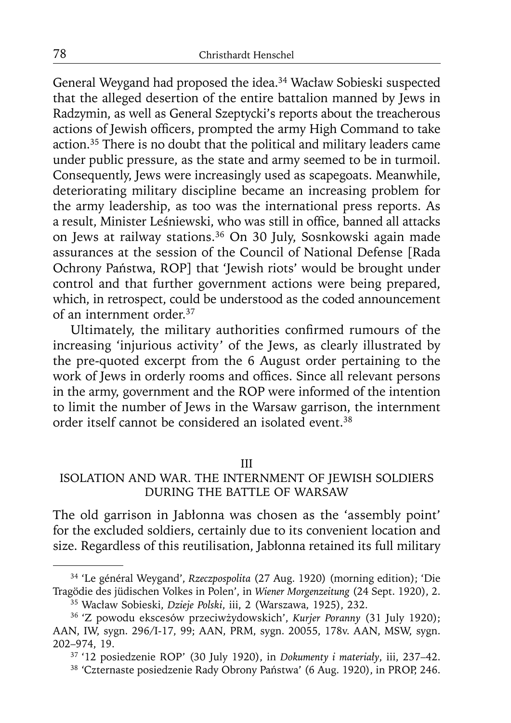General Weygand had proposed the idea.<sup>34</sup> Wacław Sobieski suspected that the alleged desertion of the entire battalion manned by Jews in Radzymin, as well as General Szeptycki's reports about the treacherous actions of Jewish officers, prompted the army High Command to take action.35 There is no doubt that the political and military leaders came under public pressure, as the state and army seemed to be in turmoil. Consequently, Jews were increasingly used as scapegoats. Meanwhile, deteriorating military discipline became an increasing problem for the army leadership, as too was the international press reports. As a result, Minister Leśniewski, who was still in office, banned all attacks on Jews at railway stations.<sup>36</sup> On 30 July, Sosnkowski again made assurances at the session of the Council of National Defense [Rada Ochrony Państwa, ROP] that 'Jewish riots' would be brought under control and that further government actions were being prepared, which, in retrospect, could be understood as the coded announcement of an internment order.37

Ultimately, the military authorities confirmed rumours of the increasing 'injurious activity' of the Jews, as clearly illustrated by the pre-quoted excerpt from the 6 August order pertaining to the work of Jews in orderly rooms and offices. Since all relevant persons in the army, government and the ROP were informed of the intention to limit the number of Jews in the Warsaw garrison, the internment order itself cannot be considered an isolated event.38

III

# ISOLATION AND WAR. THE INTERNMENT OF JEWISH SOLDIERS DURING THE BATTLE OF WARSAW

The old garrison in Jabłonna was chosen as the 'assembly point' for the excluded soldiers, certainly due to its convenient location and size. Regardless of this reutilisation, Jabłonna retained its full military

<sup>34 &#</sup>x27;Le général Weygand', *Rzeczpospolita* (27 Aug. 1920) (morning edition); 'Die Tragödie des jüdischen Volkes in Polen', in *Wiener Morgenzeitung* (24 Sept. 1920), 2.

<sup>&</sup>lt;sup>36</sup> 'Z powodu ekscesów przeciwżydowskich', *Kurier Poranny* (31 July 1920); AAN, IW, sygn. 296/I-17, 99; AAN, PRM, sygn. 20055, 178v. AAN, MSW, sygn.

<sup>202–974, 19. 37 &#</sup>x27;12 posiedzenie ROP' (30 July 1920), in *Dokumenty i materiały*, iii, 237–42. 38 'Czternaste posiedzenie Rady Obrony Państwa' (6 Aug. 1920), in PROP, 246.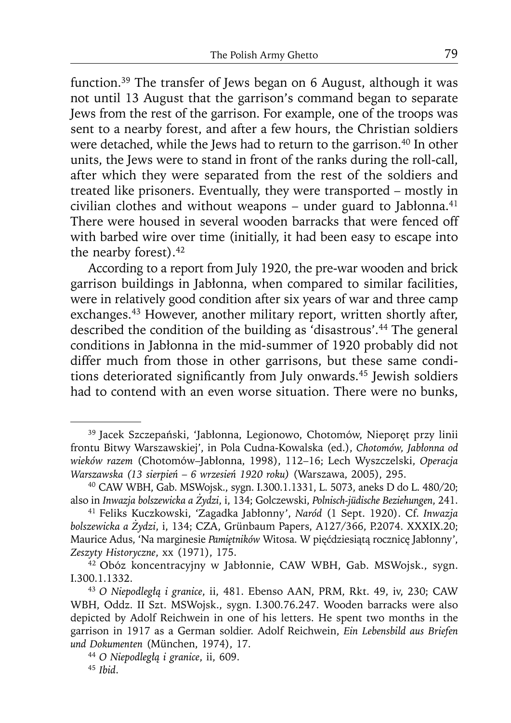function.39 The transfer of Jews began on 6 August, although it was not until 13 August that the garrison's command began to separate Jews from the rest of the garrison. For example, one of the troops was sent to a nearby forest, and after a few hours, the Christian soldiers were detached, while the Jews had to return to the garrison.<sup>40</sup> In other units, the Jews were to stand in front of the ranks during the roll-call, after which they were separated from the rest of the soldiers and treated like prisoners. Eventually, they were transported – mostly in civilian clothes and without weapons - under guard to Jabłonna.<sup>41</sup> There were housed in several wooden barracks that were fenced off with barbed wire over time (initially, it had been easy to escape into the nearby forest).<sup>42</sup>

According to a report from July 1920, the pre-war wooden and brick garrison buildings in Jabłonna, when compared to similar facilities, were in relatively good condition after six years of war and three camp exchanges.<sup>43</sup> However, another military report, written shortly after, described the condition of the building as 'disastrous'.44 The general conditions in Jabłonna in the mid-summer of 1920 probably did not differ much from those in other garrisons, but these same conditions deteriorated significantly from July onwards.<sup>45</sup> Jewish soldiers had to contend with an even worse situation. There were no bunks,

<sup>39</sup> Jacek Szczepański, 'Jabłonna, Legionowo, Chotomów, Nieporęt przy linii frontu Bitwy Warszawskiej', in Pola Cudna-Kowalska (ed.), *Chotomów, Jabłonna od wieków razem* (Chotomów–Jabłonna, 1998), 112–16; Lech Wyszczelski, *Operacja Warszawska (13 sierpie<sup>ń</sup>* – *6 wrzesień 1920 roku)* (Warszawa, 2005), 295. 40 CAW WBH, Gab. MSWojsk., sygn. I.300.1.1331, L. 5073, aneks D do L. 480/20;

also in *Inwazja bolszewicka a Żydzi*, i, 134; Golczewski, *Polnisch-jüdische Beziehungen*, 241.

<sup>41</sup> Feliks Kuczkowski, 'Zagadka Jabłonny', *Naród* (1 Sept. 1920). Cf. *Inwazja bolszewicka a Żydzi*, i, 134; CZA, Grünbaum Papers, A127/366, P.2074. XXXIX.20; Maurice Adus, 'Na marginesie *Pamiętników* Witosa. W pięćdziesiątą rocznicę Jabłonny', *Zeszyty Historyczne*, xx (1971), 175. 42 Obóz koncentracyjny w Jabłonnie, CAW WBH, Gab. MSWojsk., sygn.

I.300.1.1332.

<sup>43</sup>*O Niepodległą i granice*, ii, 481. Ebenso AAN, PRM, Rkt. 49, iv, 230; CAW WBH, Oddz. II Szt. MSWojsk., sygn. I.300.76.247. Wooden barracks were also depicted by Adolf Reichwein in one of his letters. He spent two months in the garrison in 1917 as a German soldier. Adolf Reichwein, *Ein Lebensbild aus Briefen und Dokumenten* (München, 1974), 17. 44 *O Niepodległą i granice*, ii, 609. 45 *Ibid*.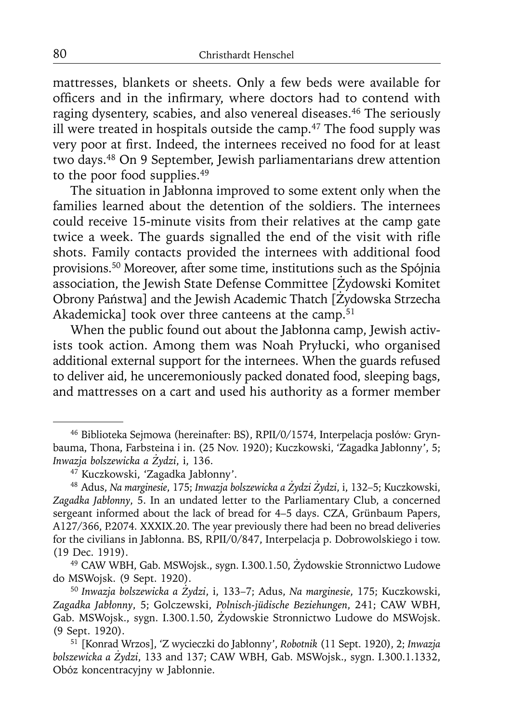mattresses, blankets or sheets. Only a few beds were available for officers and in the infirmary, where doctors had to contend with raging dysentery, scabies, and also venereal diseases.<sup>46</sup> The seriously ill were treated in hospitals outside the camp. $47$  The food supply was very poor at first. Indeed, the internees received no food for at least two days.48 On 9 September, Jewish parliamentarians drew attention to the poor food supplies.49

The situation in Jabłonna improved to some extent only when the families learned about the detention of the soldiers. The internees could receive 15-minute visits from their relatives at the camp gate twice a week. The guards signalled the end of the visit with rifle shots. Family contacts provided the internees with additional food provisions.50 Moreover, after some time, institutions such as the Spójnia association, the Jewish State Defense Committee [Żydowski Komitet Obrony Państwa] and the Jewish Academic Thatch [Żydowska Strzecha Akademicka] took over three canteens at the camp.<sup>51</sup>

When the public found out about the Jabłonna camp, Jewish activists took action. Among them was Noah Pryłucki, who organised additional external support for the internees. When the guards refused to deliver aid, he unceremoniously packed donated food, sleeping bags, and mattresses on a cart and used his authority as a former member

<sup>46</sup> Biblioteka Sejmowa (hereinafter: BS), RPII/0/1574, Interpelacja posłów*:* Grynbauma, Thona, Farbsteina i in. (25 Nov. 1920); Kuczkowski, 'Zagadka Jabłonny', 5; *Inwazja bolszewicka a Żydzi*, i, 136. 47 Kuczkowski, 'Zagadka Jabłonny'.

<sup>48</sup> Adus, *Na marginesie*, 175; *Inwazja bolszewicka a Żydzi Żydzi*, i, 132–5; Kuczkowski, *Zagadka Jabłonny*, 5. In an undated letter to the Parliamentary Club, a concerned sergeant informed about the lack of bread for 4–5 days. CZA, Grünbaum Papers, A127/366, P.2074. XXXIX.20. The year previously there had been no bread deliveries for the civilians in Jabłonna. BS, RPII/0/847, Interpelacja p. Dobrowolskiego i tow. (19 Dec. 1919).

<sup>49</sup> CAW WBH, Gab. MSWojsk., sygn. I.300.1.50, Żydowskie Stronnictwo Ludowe do MSWojsk. (9 Sept. 1920).

<sup>50</sup>*Inwazja bolszewicka a Żydzi*, i, 133–7; Adus, *Na marginesie*, 175; Kuczkowski, *Zagadka Jabłonny*, 5; Golczewski, *Polnisch-jüdische Beziehungen*, 241; CAW WBH, Gab. MSWojsk., sygn. I.300.1.50, Żydowskie Stronnictwo Ludowe do MSWojsk. (9 Sept. 1920).

<sup>51 [</sup>Konrad Wrzos], 'Z wycieczki do Jabłonny', *Robotnik* (11 Sept. 1920), 2; *Inwazja bolszewicka a Żydzi*, 133 and 137; CAW WBH, Gab. MSWojsk., sygn. I.300.1.1332, Obóz koncentracyjny w Jabłonnie.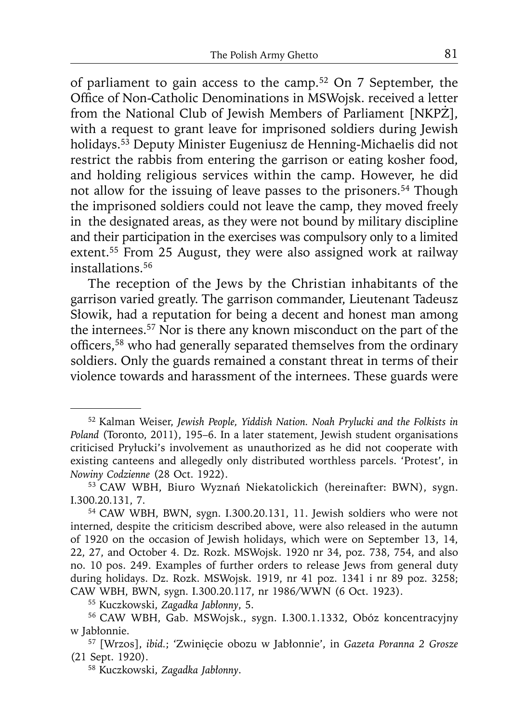of parliament to gain access to the camp.52 On 7 September, the Office of Non-Catholic Denominations in MSWojsk. received a letter from the National Club of Jewish Members of Parliament [NKPŻ], with a request to grant leave for imprisoned soldiers during Jewish holidays.53 Deputy Minister Eugeniusz de Henning-Michaelis did not restrict the rabbis from entering the garrison or eating kosher food, and holding religious services within the camp. However, he did not allow for the issuing of leave passes to the prisoners.54 Though the imprisoned soldiers could not leave the camp, they moved freely in the designated areas, as they were not bound by military discipline and their participation in the exercises was compulsory only to a limited extent.55 From 25 August, they were also assigned work at railway installations.56

The reception of the Jews by the Christian inhabitants of the garrison varied greatly. The garrison commander, Lieutenant Tadeusz Słowik, had a reputation for being a decent and honest man among the internees.57 Nor is there any known misconduct on the part of the officers,<sup>58</sup> who had generally separated themselves from the ordinary soldiers. Only the guards remained a constant threat in terms of their violence towards and harassment of the internees. These guards were

<sup>52</sup> Kalman Weiser, *Jewish People, Yiddish Nation. Noah Prylucki and the Folkists in Poland* (Toronto, 2011), 195–6. In a later statement, Jewish student organisations criticised Pryłucki's involvement as unauthorized as he did not cooperate with existing canteens and allegedly only distributed worthless parcels. 'Protest', in *Nowiny Codzienne* (28 Oct. 1922). 53 CAW WBH, Biuro Wyznań Niekatolickich (hereinafter: BWN), sygn.

I.300.20.131, 7. 54 CAW WBH, BWN, sygn. I.300.20.131, 11. Jewish soldiers who were not

interned, despite the criticism described above, were also released in the autumn of 1920 on the occasion of Jewish holidays, which were on September 13, 14, 22, 27, and October 4. Dz. Rozk. MSWojsk. 1920 nr 34, poz. 738, 754, and also no. 10 pos. 249. Examples of further orders to release Jews from general duty during holidays. Dz. Rozk. MSWojsk. 1919, nr 41 poz. 1341 i nr 89 poz. 3258; CAW WBH, BWN, sygn. I.300.20.117, nr 1986/WWN (6 Oct. 1923).<br><sup>55</sup> Kuczkowski, Zagadka Jabłonny, 5.

<sup>&</sup>lt;sup>56</sup> CAW WBH, Gab. MSWojsk., sygn. I.300.1.1332, Obóz koncentracyjny w Jabłonnie.

<sup>57 [</sup>Wrzos], *ibid.*; 'Zwinięcie obozu w Jabłonnie', in *Gazeta Poranna 2 Grosze* (21 Sept. 1920).

<sup>58</sup> Kuczkowski, *Zagadka Jabłonny*.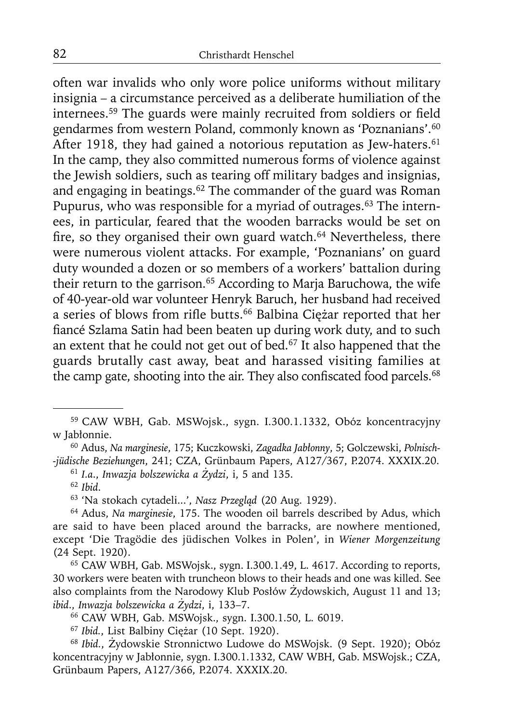often war invalids who only wore police uniforms without military insignia – a circumstance perceived as a deliberate humiliation of the internees.<sup>59</sup> The guards were mainly recruited from soldiers or field gendarmes from western Poland, commonly known as 'Poznanians'.<sup>60</sup> After 1918, they had gained a notorious reputation as Jew-haters.<sup>61</sup> In the camp, they also committed numerous forms of violence against the Jewish soldiers, such as tearing off military badges and insignias, and engaging in beatings.62 The commander of the guard was Roman Pupurus, who was responsible for a myriad of outrages.<sup>63</sup> The internees, in particular, feared that the wooden barracks would be set on fire, so they organised their own guard watch. $64$  Nevertheless, there were numerous violent attacks. For example, 'Poznanians' on guard duty wounded a dozen or so members of a workers' battalion during their return to the garrison.<sup>65</sup> According to Marja Baruchowa, the wife of 40-year-old war volunteer Henryk Baruch, her husband had received a series of blows from rifle butts.<sup>66</sup> Balbina Ciężar reported that her fiancé Szlama Satin had been beaten up during work duty, and to such an extent that he could not get out of bed.<sup>67</sup> It also happened that the guards brutally cast away, beat and harassed visiting families at the camp gate, shooting into the air. They also confiscated food parcels.<sup>68</sup>

60 Adus, *Na marginesie*, 175; Kuczkowski, *Zagadka Jabłonny*, 5; Golczewski, *Polnisch- -jüdische Beziehungen*, 241; CZA, Grünbaum Papers, A127/367, P.2074. XXXIX.20.

<sup>61</sup>*I.a*., *Inwazja bolszewicka a Żydzi*, i, 5 and 135. 62 *Ibid*.

63 'Na stokach cytadeli...', *Nasz Przegląd* (20 Aug. 1929). 64 Adus, *Na marginesie*, 175. The wooden oil barrels described by Adus, which are said to have been placed around the barracks, are nowhere mentioned, except 'Die Tragödie des jüdischen Volkes in Polen', in *Wiener Morgenzeitung* (24 Sept. 1920).<br> $65$  CAW WBH, Gab. MSWojsk., sygn. I.300.1.49, L. 4617. According to reports,

30 workers were beaten with truncheon blows to their heads and one was killed. See also complaints from the Narodowy Klub Posłów Żydowskich, August 11 and 13; ibid., Inwazja bolszewicka a Żydzi, i, 133–7.

*ibid*., *Inwazja bolszewicka a Żydzi*, i, 133–7. 66 CAW WBH, Gab. MSWojsk., sygn. I.300.1.50, L. 6019. 67 *Ibid.*, List Balbiny Ciężar (10 Sept. 1920).

<sup>68</sup>*Ibid.*, Żydowskie Stronnictwo Ludowe do MSWojsk. (9 Sept. 1920); Obóz koncentracyjny w Jabłonnie, sygn. I.300.1.1332, CAW WBH, Gab. MSWojsk.; CZA, Grünbaum Papers, A127/366, P.2074. XXXIX.20.

<sup>59</sup> CAW WBH, Gab. MSWojsk., sygn. I.300.1.1332, Obóz koncentracyjny w Jabłonnie.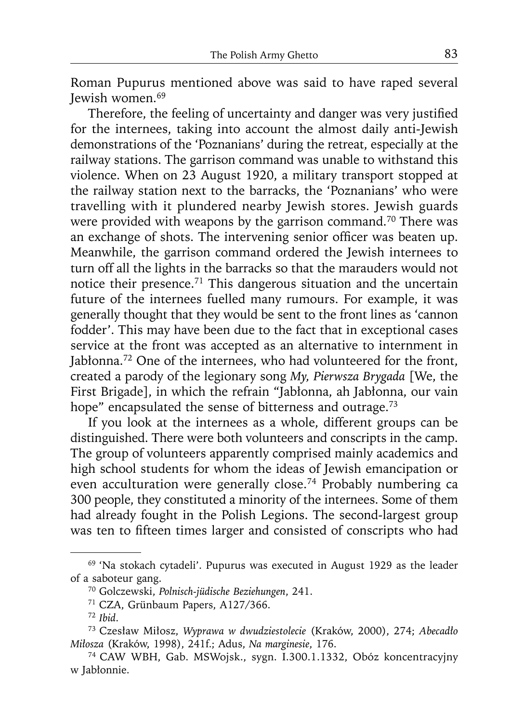Roman Pupurus mentioned above was said to have raped several Jewish women.<sup>69</sup>

Therefore, the feeling of uncertainty and danger was very justified for the internees, taking into account the almost daily anti-Jewish demonstrations of the 'Poznanians' during the retreat, especially at the railway stations. The garrison command was unable to withstand this violence. When on 23 August 1920, a military transport stopped at the railway station next to the barracks, the 'Poznanians' who were travelling with it plundered nearby Jewish stores. Jewish guards were provided with weapons by the garrison command.<sup>70</sup> There was an exchange of shots. The intervening senior officer was beaten up. Meanwhile, the garrison command ordered the Jewish internees to turn off all the lights in the barracks so that the marauders would not notice their presence.71 This dangerous situation and the uncertain future of the internees fuelled many rumours. For example, it was generally thought that they would be sent to the front lines as 'cannon fodder'. This may have been due to the fact that in exceptional cases service at the front was accepted as an alternative to internment in Jabłonna.<sup>72</sup> One of the internees, who had volunteered for the front, created a parody of the legionary song *My, Pierwsza Brygada* [We, the First Brigade], in which the refrain "Jabłonna, ah Jabłonna, our vain hope" encapsulated the sense of bitterness and outrage.<sup>73</sup>

If you look at the internees as a whole, different groups can be distinguished. There were both volunteers and conscripts in the camp. The group of volunteers apparently comprised mainly academics and high school students for whom the ideas of Jewish emancipation or even acculturation were generally close.74 Probably numbering ca 300 people, they constituted a minority of the internees. Some of them had already fought in the Polish Legions. The second-largest group was ten to fifteen times larger and consisted of conscripts who had

<sup>69 &#</sup>x27;Na stokach cytadeli'. Pupurus was executed in August 1929 as the leader of a saboteur gang.

<sup>70</sup> Golczewski, *Polnisch-jüdische Beziehungen*, 241.

<sup>71</sup> CZA, Grünbaum Papers, A127/366.

<sup>72</sup>*Ibid*.

<sup>73</sup> Czesław Miłosz, *Wyprawa w dwudziestolecie* (Kraków, 2000), 274; *Abecadło Miłosza* (Kraków, 1998), 241f.; Adus, *Na marginesie*, 176. 74 CAW WBH, Gab. MSWojsk., sygn. I.300.1.1332, Obóz koncentracyjny

w Jabłonnie.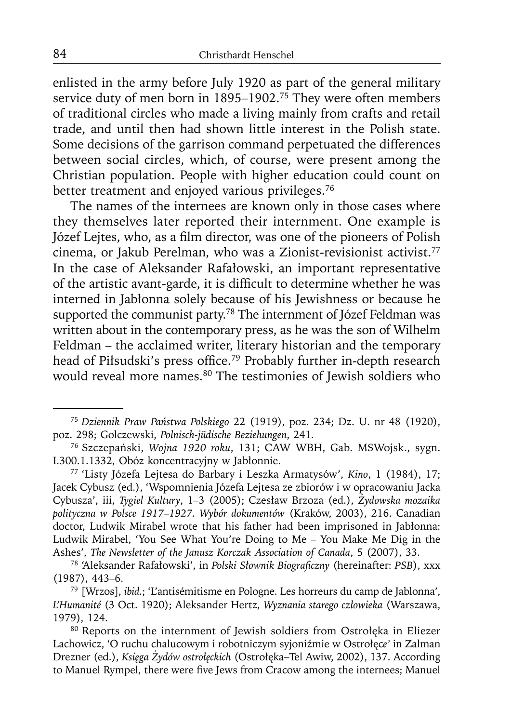enlisted in the army before July 1920 as part of the general military service duty of men born in 1895–1902.<sup>75</sup> They were often members of traditional circles who made a living mainly from crafts and retail trade, and until then had shown little interest in the Polish state. Some decisions of the garrison command perpetuated the differences between social circles, which, of course, were present among the Christian population. People with higher education could count on better treatment and enjoyed various privileges.<sup>76</sup>

The names of the internees are known only in those cases where they themselves later reported their internment. One example is Józef Lejtes, who, as a film director, was one of the pioneers of Polish cinema, or Jakub Perelman, who was a Zionist-revisionist activist.<sup>77</sup> In the case of Aleksander Rafałowski, an important representative of the artistic avant-garde, it is difficult to determine whether he was interned in Jabłonna solely because of his Jewishness or because he supported the communist party.<sup>78</sup> The internment of Józef Feldman was written about in the contemporary press, as he was the son of Wilhelm Feldman – the acclaimed writer, literary historian and the temporary head of Piłsudski's press office.<sup>79</sup> Probably further in-depth research would reveal more names.<sup>80</sup> The testimonies of Jewish soldiers who

<sup>75</sup>*Dziennik Praw Państwa Polskiego* 22 (1919), poz. 234; Dz. U. nr 48 (1920), poz. 298; Golczewski, *Polnisch-jüdische Beziehungen*, 241.

<sup>76</sup> Szczepański, *Wojna 1920 roku*, 131; CAW WBH, Gab. MSWojsk., sygn. I.300.1.1332, Obóz koncentracyjny w Jabłonnie.

<sup>77 &#</sup>x27;Listy Józefa Lejtesa do Barbary i Leszka Armatysów', *Kino*, 1 (1984), 17; Jacek Cybusz (ed.), 'Wspomnienia Józefa Lejtesa ze zbiorów i w opracowaniu Jacka Cybusza', iii, *Tygiel Kultury*, 1–3 (2005); Czesław Brzoza (ed.), *Żydowska mozaika polityczna w Polsce 1917–1927. Wybór dokumentów* (Kraków, 2003), 216. Canadian doctor, Ludwik Mirabel wrote that his father had been imprisoned in Jabłonna: Ludwik Mirabel, 'You See What You're Doing to Me – You Make Me Dig in the

Ashes', *The Newsletter of the Janusz Korczak Association of Canada*, 5 (2007), 33. 78 'Aleksander Rafałowski', in *Polski Słownik Biografi czny* (hereinafter: *PSB*), xxx (1987), 443–6. 79 [Wrzos], *ibid.*; 'L'antisémitisme en Pologne. Les horreurs du camp de Jablonna',

*L'Humanité* (3 Oct. 1920); Aleksander Hertz, *Wyznania starego człowieka* (Warszawa, 1979), 124. 80 Reports on the internment of Jewish soldiers from Ostrołęka in Eliezer

Lachowicz, 'O ruchu chalucowym i robotniczym syjoniźmie w Ostrołęc*e'* in Zalman Drezner (ed.), *Księga Żydów ostrołęckich* (Ostrołęka–Tel Awiw, 2002), 137. According to Manuel Rympel, there were five Jews from Cracow among the internees; Manuel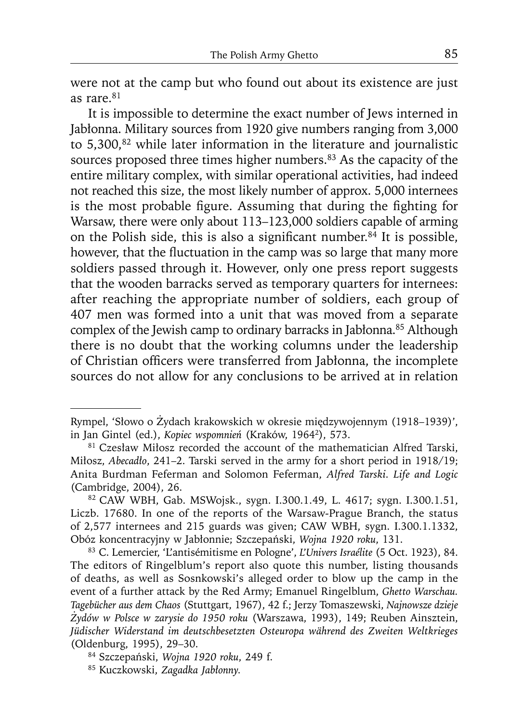were not at the camp but who found out about its existence are just as rare.<sup>81</sup>

It is impossible to determine the exact number of Jews interned in Jabłonna. Military sources from 1920 give numbers ranging from 3,000 to 5,300,<sup>82</sup> while later information in the literature and journalistic sources proposed three times higher numbers.<sup>83</sup> As the capacity of the entire military complex, with similar operational activities, had indeed not reached this size, the most likely number of approx. 5,000 internees is the most probable figure. Assuming that during the fighting for Warsaw, there were only about 113–123,000 soldiers capable of arming on the Polish side, this is also a significant number.<sup>84</sup> It is possible, however, that the fluctuation in the camp was so large that many more soldiers passed through it. However, only one press report suggests that the wooden barracks served as temporary quarters for internees: after reaching the appropriate number of soldiers, each group of 407 men was formed into a unit that was moved from a separate complex of the Jewish camp to ordinary barracks in Jabłonna.<sup>85</sup> Although there is no doubt that the working columns under the leadership of Christian officers were transferred from Jabłonna, the incomplete sources do not allow for any conclusions to be arrived at in relation

Rympel, 'Słowo o Żydach krakowskich w okresie międzywojennym (1918–1939)', in Jan Gintel (ed.), *Kopiec wspomnień* (Kraków, 19642), 573. 81 Czesław Miłosz recorded the account of the mathematician Alfred Tarski,

Miłosz, *Abecadło*, 241–2. Tarski served in the army for a short period in 1918/19; Anita Burdman Feferman and Solomon Feferman, *Alfred Tarski. Life and Logic* (Cambridge, 2004), 26. 82 CAW WBH, Gab. MSWojsk., sygn. I.300.1.49, L. 4617; sygn. I.300.1.51,

Liczb. 17680. In one of the reports of the Warsaw-Prague Branch, the status of 2,577 internees and 215 guards was given; CAW WBH, sygn. I.300.1.1332, Obóz koncentracyjny w Jabłonnie; Szczepański, *Wojna 1920 roku*, 131.

<sup>83</sup> C. Lemercier, 'L'antisémitisme en Pologne', *L'Univers Israélite* (5 Oct. 1923), 84. The editors of Ringelblum's report also quote this number, listing thousands of deaths, as well as Sosnkowski's alleged order to blow up the camp in the event of a further attack by the Red Army; Emanuel Ringelblum, *Ghetto Warschau. Tagebücher aus dem Chaos* (Stuttgart, 1967), 42 f.; Jerzy Tomaszewski, *Najnowsze dzieje Żydów w Polsce w zarysie do 1950 roku* (Warszawa, 1993), 149; Reuben Ainsztein, *Jüdischer Widerstand im deutschbesetzten Osteuropa während des Zweiten Weltkrieges* (Oldenburg, 1995), 29–30. 84 Szczepański, *Wojna 1920 roku*, 249 f.

<sup>85</sup> Kuczkowski, *Zagadka Jabłonny.*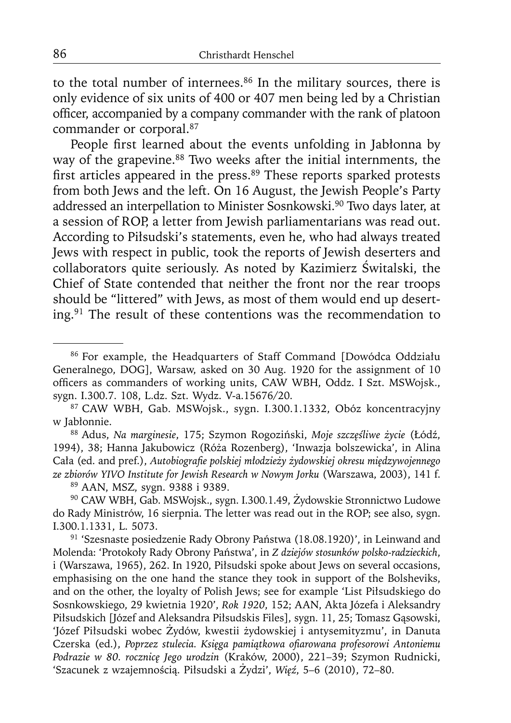to the total number of internees. $86$  In the military sources, there is only evidence of six units of 400 or 407 men being led by a Christian officer, accompanied by a company commander with the rank of platoon commander or corporal.87

People first learned about the events unfolding in Jabłonna by way of the grapevine.<sup>88</sup> Two weeks after the initial internments, the first articles appeared in the press.<sup>89</sup> These reports sparked protests from both Jews and the left. On 16 August, the Jewish People's Party addressed an interpellation to Minister Sosnkowski.90 Two days later, at a session of ROP, a letter from Jewish parliamentarians was read out. According to Piłsudski's statements, even he, who had always treated Jews with respect in public, took the reports of Jewish deserters and collaborators quite seriously. As noted by Kazimierz Świtalski, the Chief of State contended that neither the front nor the rear troops should be "littered" with Jews, as most of them would end up deserting.91 The result of these contentions was the recommendation to

88 Adus, *Na marginesie*, 175; Szymon Rogoziński, *Moje szczęśliwe życie* (Łódź, 1994), 38; Hanna Jakubowicz (Róża Rozenberg), 'Inwazja bolszewicka', in Alina Cała (ed. and pref.), *Autobiografi e polskiej młodzieży żydowskiej okresu międzywojennego ze zbiorów YIVO Institute for Jewish Research w Nowym Jorku* (Warszawa, 2003), 141 f.

<sup>90</sup> CAW WBH, Gab. MSWojsk., sygn. I.300.1.49, Żydowskie Stronnictwo Ludowe do Rady Ministrów, 16 sierpnia. The letter was read out in the ROP; see also, sygn. I.300.1.1331, L. 5073. 91 'Szesnaste posiedzenie Rady Obrony Państwa (18.08.1920)', in Leinwand and

Molenda: 'Protokoły Rady Obrony Państwa', in *Z dziejów stosunków polsko-radzieckich*, i (Warszawa, 1965), 262. In 1920, Piłsudski spoke about Jews on several occasions, emphasising on the one hand the stance they took in support of the Bolsheviks, and on the other, the loyalty of Polish Jews; see for example 'List Piłsudskiego do Sosnkowskiego, 29 kwietnia 1920', *Rok 1920*, 152; AAN, Akta Józefa i Aleksandry Piłsudskich [Józef and Aleksandra Piłsudskis Files], sygn. 11, 25; Tomasz Gąsowski, 'Józef Piłsudski wobec Żydów, kwestii żydowskiej i antysemityzmu', in Danuta Czerska (ed.), *Poprzez stulecia. Księga pamiątkowa ofi arowana profesorowi Antoniemu Podrazie w 80. rocznicę Jego urodzin* (Kraków, 2000), 221–39; Szymon Rudnicki, 'Szacunek z wzajemnością. Piłsudski a Żydzi', *Więź*, 5–6 (2010), 72–80.

<sup>86</sup> For example, the Headquarters of Staff Command [Dowódca Oddziału Generalnego, DOG], Warsaw, asked on 30 Aug. 1920 for the assignment of 10 officers as commanders of working units, CAW WBH, Oddz. I Szt. MSWojsk., sygn. I.300.7. 108, L.dz. Szt. Wydz. V-a.15676/20.

<sup>87</sup> CAW WBH, Gab. MSWojsk., sygn. I.300.1.1332, Obóz koncentracyjny w Jabłonnie.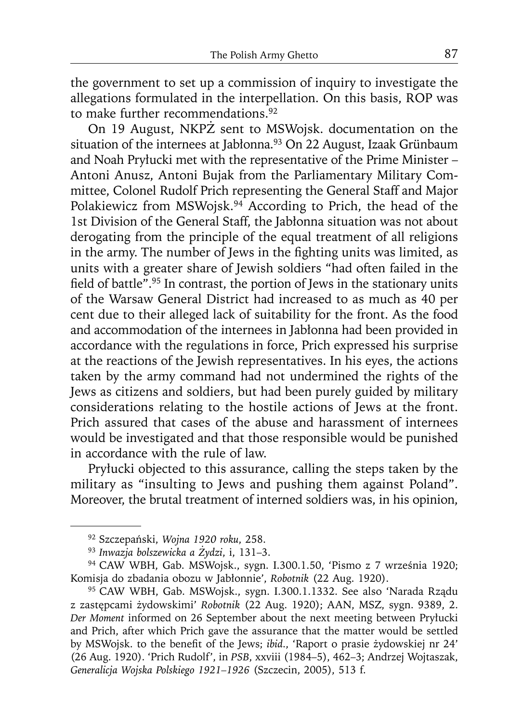the government to set up a commission of inquiry to investigate the allegations formulated in the interpellation. On this basis, ROP was to make further recommendations.<sup>92</sup>

On 19 August, NKPŻ sent to MSWojsk. documentation on the situation of the internees at Jabłonna.<sup>93</sup> On 22 August, Izaak Grünbaum and Noah Pryłucki met with the representative of the Prime Minister – Antoni Anusz, Antoni Bujak from the Parliamentary Military Committee, Colonel Rudolf Prich representing the General Staff and Major Polakiewicz from MSWojsk.94 According to Prich, the head of the 1st Division of the General Staff, the Jabłonna situation was not about derogating from the principle of the equal treatment of all religions in the army. The number of Jews in the fighting units was limited, as units with a greater share of Jewish soldiers "had often failed in the field of battle".<sup>95</sup> In contrast, the portion of Jews in the stationary units of the Warsaw General District had increased to as much as 40 per cent due to their alleged lack of suitability for the front. As the food and accommodation of the internees in Jabłonna had been provided in accordance with the regulations in force, Prich expressed his surprise at the reactions of the Jewish representatives. In his eyes, the actions taken by the army command had not undermined the rights of the Jews as citizens and soldiers, but had been purely guided by military considerations relating to the hostile actions of Jews at the front. Prich assured that cases of the abuse and harassment of internees would be investigated and that those responsible would be punished in accordance with the rule of law.

Pryłucki objected to this assurance, calling the steps taken by the military as "insulting to Jews and pushing them against Poland". Moreover, the brutal treatment of interned soldiers was, in his opinion,

<sup>92</sup> Szczepański, *Wojna 1920 roku*, 258.<br><sup>93</sup> *Inwazja bolszewicka a Żydzi*, i, 131–3.<br><sup>94</sup> CAW WBH, Gab. MSWojsk., sygn. I.300.1.50, 'Pismo z 7 września 1920;<br>Komisja do zbadania obozu w Jabłonnie', *Robotnik* (22 Aug. 192

<sup>&</sup>lt;sup>95</sup> CAW WBH, Gab. MSWojsk., sygn. I.300.1.1332. See also 'Narada Rządu z zastępcami żydowskimi' *Robotnik* (22 Aug. 1920); AAN, MSZ, sygn. 9389, 2. *Der Moment* informed on 26 September about the next meeting between Pryłucki and Prich, after which Prich gave the assurance that the matter would be settled by MSWojsk. to the benefit of the Jews; *ibid.*, 'Raport o prasie żydowskiej nr 24' (26 Aug. 1920). 'Prich Rudolf', in *PSB*, xxviii (1984–5), 462–3; Andrzej Wojtaszak, *Generalicja Wojska Polskiego 1921–1926* (Szczecin, 2005), 513 f.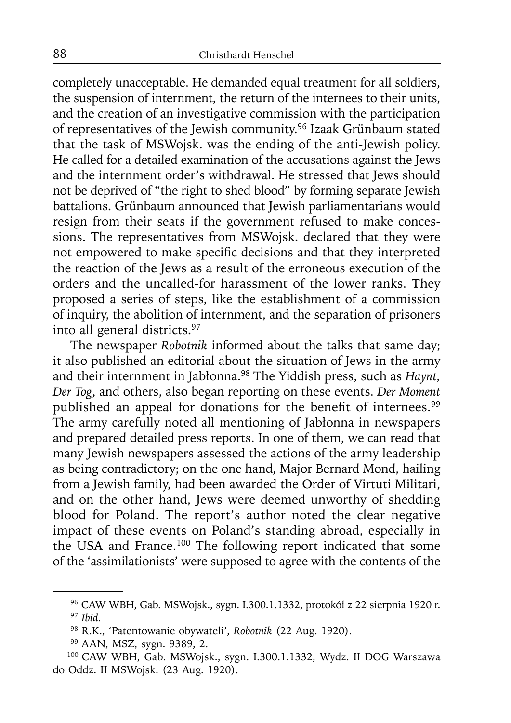completely unacceptable. He demanded equal treatment for all soldiers, the suspension of internment, the return of the internees to their units, and the creation of an investigative commission with the participation of representatives of the Jewish community.96 Izaak Grünbaum stated that the task of MSWojsk. was the ending of the anti-Jewish policy. He called for a detailed examination of the accusations against the Jews and the internment order's withdrawal. He stressed that Jews should not be deprived of "the right to shed blood" by forming separate Jewish battalions. Grünbaum announced that Jewish parliamentarians would resign from their seats if the government refused to make concessions. The representatives from MSWojsk. declared that they were not empowered to make specific decisions and that they interpreted the reaction of the Jews as a result of the erroneous execution of the orders and the uncalled-for harassment of the lower ranks. They proposed a series of steps, like the establishment of a commission of inquiry, the abolition of internment, and the separation of prisoners into all general districts.97

The newspaper *Robotnik* informed about the talks that same day; it also published an editorial about the situation of Jews in the army and their internment in Jabłonna.98 The Yiddish press, such as *Haynt, Der Tog*, and others, also began reporting on these events. *Der Moment* published an appeal for donations for the benefit of internees.<sup>99</sup> The army carefully noted all mentioning of Jabłonna in newspapers and prepared detailed press reports. In one of them, we can read that many Jewish newspapers assessed the actions of the army leadership as being contradictory; on the one hand, Major Bernard Mond, hailing from a Jewish family, had been awarded the Order of Virtuti Militari, and on the other hand, Jews were deemed unworthy of shedding blood for Poland. The report's author noted the clear negative impact of these events on Poland's standing abroad, especially in the USA and France.<sup>100</sup> The following report indicated that some of the 'assimilationists' were supposed to agree with the contents of the

<sup>96</sup> CAW WBH, Gab. MSWojsk., sygn. I.300.1.1332, protokół z 22 sierpnia 1920 r. 97 *Ibid*.

<sup>98</sup> R.K., 'Patentowanie obywateli', *Robotnik* (22 Aug. 1920).

<sup>&</sup>lt;sup>100</sup> CAW WBH, Gab. MSWojsk., sygn. I.300.1.1332, Wydz. II DOG Warszawa do Oddz. II MSWojsk. (23 Aug. 1920).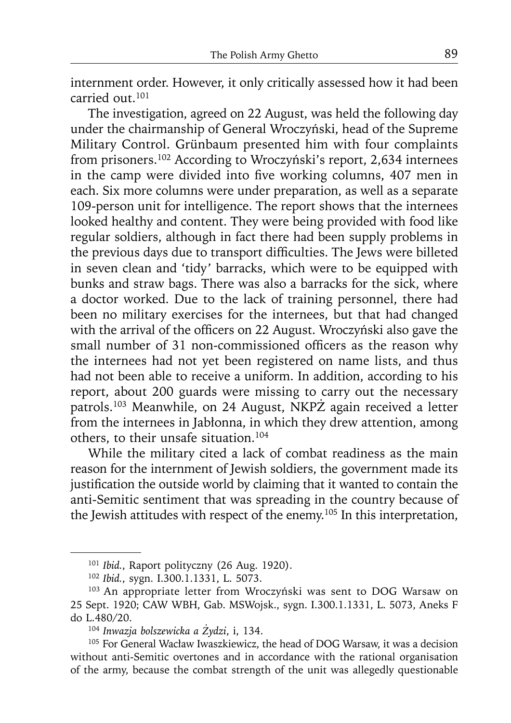internment order. However, it only critically assessed how it had been carried out.101

The investigation, agreed on 22 August, was held the following day under the chairmanship of General Wroczyński, head of the Supreme Military Control. Grünbaum presented him with four complaints from prisoners.102 According to Wroczyński's report, 2,634 internees in the camp were divided into five working columns, 407 men in each. Six more columns were under preparation, as well as a separate 109-person unit for intelligence. The report shows that the internees looked healthy and content. They were being provided with food like regular soldiers, although in fact there had been supply problems in the previous days due to transport difficulties. The Jews were billeted in seven clean and 'tidy' barracks, which were to be equipped with bunks and straw bags. There was also a barracks for the sick, where a doctor worked. Due to the lack of training personnel, there had been no military exercises for the internees, but that had changed with the arrival of the officers on 22 August. Wroczyński also gave the small number of 31 non-commissioned officers as the reason why the internees had not yet been registered on name lists, and thus had not been able to receive a uniform. In addition, according to his report, about 200 guards were missing to carry out the necessary patrols.103 Meanwhile, on 24 August, NKPŻ again received a letter from the internees in Jabłonna, in which they drew attention, among others, to their unsafe situation.104

While the military cited a lack of combat readiness as the main reason for the internment of Jewish soldiers, the government made its justification the outside world by claiming that it wanted to contain the anti-Semitic sentiment that was spreading in the country because of the Jewish attitudes with respect of the enemy.<sup>105</sup> In this interpretation,

<sup>&</sup>lt;sup>101</sup> *Ibid.*, Raport polityczny (26 Aug. 1920).<br><sup>102</sup> *Ibid.*, sygn. I.300.1.1331, L. 5073.<br><sup>103</sup> An appropriate letter from Wroczyński was sent to DOG Warsaw on 25 Sept. 1920; CAW WBH, Gab. MSWojsk., sygn. I.300.1.1331, L. 5073, Aneks F do L.480/20.<br><sup>104</sup> Inwazja bolszewicka a Żydzi, i, 134.

<sup>&</sup>lt;sup>105</sup> For General Wacław Iwaszkiewicz, the head of DOG Warsaw, it was a decision without anti-Semitic overtones and in accordance with the rational organisation of the army, because the combat strength of the unit was allegedly questionable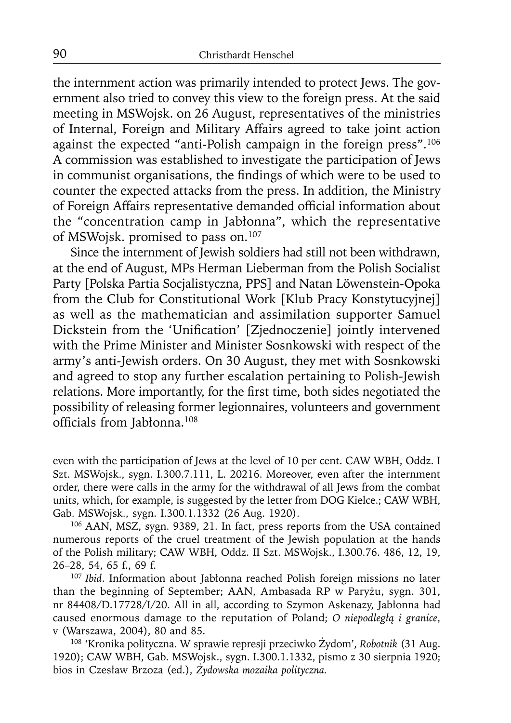the internment action was primarily intended to protect Jews. The government also tried to convey this view to the foreign press. At the said meeting in MSWojsk. on 26 August, representatives of the ministries of Internal, Foreign and Military Affairs agreed to take joint action against the expected "anti-Polish campaign in the foreign press".<sup>106</sup> A commission was established to investigate the participation of Jews in communist organisations, the findings of which were to be used to counter the expected attacks from the press. In addition, the Ministry of Foreign Affairs representative demanded official information about the "concentration camp in Jabłonna", which the representative of MSWojsk. promised to pass on.107

Since the internment of Jewish soldiers had still not been withdrawn, at the end of August, MPs Herman Lieberman from the Polish Socialist Party [Polska Partia Socjalistyczna, PPS] and Natan Löwenstein-Opoka from the Club for Constitutional Work [Klub Pracy Konstytucyjnej] as well as the mathematician and assimilation supporter Samuel Dickstein from the 'Unification' [Zjednoczenie] jointly intervened with the Prime Minister and Minister Sosnkowski with respect of the army's anti-Jewish orders. On 30 August, they met with Sosnkowski and agreed to stop any further escalation pertaining to Polish-Jewish relations. More importantly, for the first time, both sides negotiated the possibility of releasing former legionnaires, volunteers and government officials from Jabłonna. $108$ 

even with the participation of Jews at the level of 10 per cent. CAW WBH, Oddz. I Szt. MSWojsk., sygn. I.300.7.111, L. 20216. Moreover, even after the internment order, there were calls in the army for the withdrawal of all Jews from the combat units, which, for example, is suggested by the letter from DOG Kielce.; CAW WBH, Gab. MSWojsk., sygn. I.300.1.1332 (26 Aug. 1920).

<sup>106</sup> AAN, MSZ, sygn. 9389, 21. In fact, press reports from the USA contained numerous reports of the cruel treatment of the Jewish population at the hands of the Polish military; CAW WBH, Oddz. II Szt. MSWojsk., I.300.76. 486, 12, 19, 26–28, 54, 65 f., 69 f.

<sup>107</sup>*Ibid*. Information about Jabłonna reached Polish foreign missions no later than the beginning of September; AAN, Ambasada RP w Paryżu, sygn. 301, nr 84408/D.17728/I/20. All in all, according to Szymon Askenazy, Jabłonna had caused enormous damage to the reputation of Poland; *O niepodległą i granice*, v (Warszawa, 2004), 80 and 85.

<sup>108 &#</sup>x27;Kronika polityczna. W sprawie represji przeciwko Żydom', *Robotnik* (31 Aug. 1920); CAW WBH, Gab. MSWojsk., sygn. I.300.1.1332, pismo z 30 sierpnia 1920; bios in Czesław Brzoza (ed.), *Żydowska mozaika polityczna.*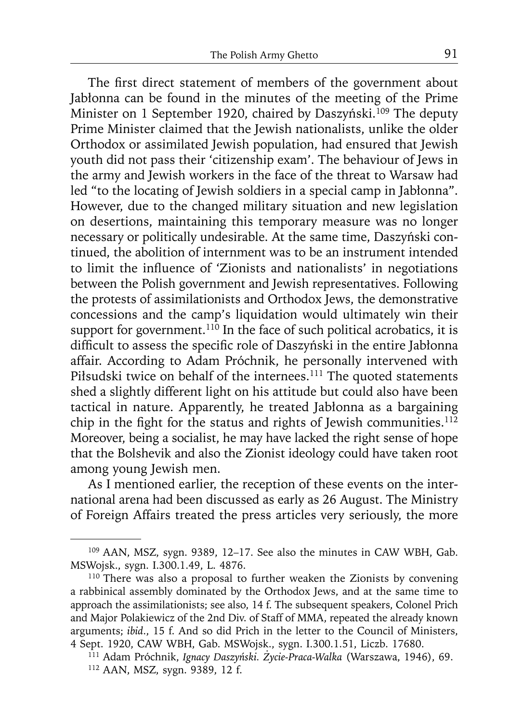The first direct statement of members of the government about Jabłonna can be found in the minutes of the meeting of the Prime Minister on 1 September 1920, chaired by Daszyński.<sup>109</sup> The deputy Prime Minister claimed that the Jewish nationalists, unlike the older Orthodox or assimilated Jewish population, had ensured that Jewish youth did not pass their 'citizenship exam'. The behaviour of Jews in the army and Jewish workers in the face of the threat to Warsaw had led "to the locating of Jewish soldiers in a special camp in Jabłonna". However, due to the changed military situation and new legislation on desertions, maintaining this temporary measure was no longer necessary or politically undesirable. At the same time, Daszyński continued, the abolition of internment was to be an instrument intended to limit the influence of 'Zionists and nationalists' in negotiations between the Polish government and Jewish representatives. Following the protests of assimilationists and Orthodox Jews, the demonstrative concessions and the camp's liquidation would ultimately win their support for government. $110$  In the face of such political acrobatics, it is difficult to assess the specific role of Daszyński in the entire Jabłonna affair. According to Adam Próchnik, he personally intervened with Piłsudski twice on behalf of the internees.<sup>111</sup> The quoted statements shed a slightly different light on his attitude but could also have been tactical in nature. Apparently, he treated Jabłonna as a bargaining chip in the fight for the status and rights of Jewish communities.<sup>112</sup> Moreover, being a socialist, he may have lacked the right sense of hope that the Bolshevik and also the Zionist ideology could have taken root among young Jewish men.

As I mentioned earlier, the reception of these events on the international arena had been discussed as early as 26 August. The Ministry of Foreign Affairs treated the press articles very seriously, the more

<sup>109</sup> AAN, MSZ, sygn. 9389, 12–17. See also the minutes in CAW WBH, Gab. MSWojsk., sygn. I.300.1.49, L. 4876.

<sup>&</sup>lt;sup>110</sup> There was also a proposal to further weaken the Zionists by convening a rabbinical assembly dominated by the Orthodox Jews, and at the same time to approach the assimilationists; see also, 14 f. The subsequent speakers, Colonel Prich and Major Polakiewicz of the 2nd Div. of Staff of MMA, repeated the already known arguments; *ibid*., 15 f. And so did Prich in the letter to the Council of Ministers, 4 Sept. 1920, CAW WBH, Gab. MSWojsk., sygn. I.300.1.51, Liczb. 17680.

<sup>111</sup> Adam Próchnik, *Ignacy Daszyński. Życie-Praca-Walka* (Warszawa, 1946), 69. 112 AAN, MSZ, sygn. 9389, 12 f.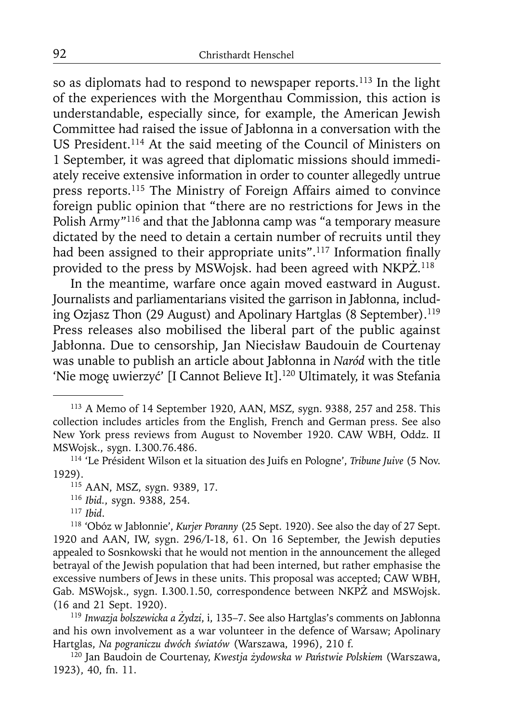so as diplomats had to respond to newspaper reports.<sup>113</sup> In the light of the experiences with the Morgenthau Commission, this action is understandable, especially since, for example, the American Jewish Committee had raised the issue of Jabłonna in a conversation with the US President.<sup>114</sup> At the said meeting of the Council of Ministers on 1 September, it was agreed that diplomatic missions should immediately receive extensive information in order to counter allegedly untrue press reports.115 The Ministry of Foreign Affairs aimed to convince foreign public opinion that "there are no restrictions for Jews in the Polish Army"116 and that the Jabłonna camp was "a temporary measure dictated by the need to detain a certain number of recruits until they had been assigned to their appropriate units".<sup>117</sup> Information finally provided to the press by MSWojsk. had been agreed with NKPŻ. 118

In the meantime, warfare once again moved eastward in August. Journalists and parliamentarians visited the garrison in Jabłonna, including Ozjasz Thon (29 August) and Apolinary Hartglas (8 September).<sup>119</sup> Press releases also mobilised the liberal part of the public against Jabłonna. Due to censorship, Jan Niecisław Baudouin de Courtenay was unable to publish an article about Jabłonna in *Naród* with the title 'Nie mogę uwierzyć' [I Cannot Believe It].<sup>120</sup> Ultimately, it was Stefania

<sup>119</sup>*Inwazja bolszewicka a Żydzi*, i, 135–7. See also Hartglas's comments on Jabłonna and his own involvement as a war volunteer in the defence of Warsaw; Apolinary Hartglas, *Na pograniczu dwóch światów* (Warszawa, 1996), 210 f.

120 Jan Baudoin de Courtenay, *Kwestja żydowska w Państwie Polskiem* (Warszawa, 1923), 40, fn. 11.

<sup>113</sup> A Memo of 14 September 1920, AAN, MSZ, sygn. 9388, 257 and 258. This collection includes articles from the English, French and German press. See also New York press reviews from August to November 1920. CAW WBH, Oddz. II MSWojsk., sygn. I.300.76.486. 114 'Le Président Wilson et la situation des Juifs en Pologne', *Tribune Juive* (5 Nov.

<sup>1929). 115</sup> AAN, MSZ, sygn. 9389, 17. 116 *Ibid.*, sygn. 9388, 254. 117 *Ibid*.

<sup>118 &#</sup>x27;Obóz w Jabłonnie', *Kurjer Poranny* (25 Sept. 1920). See also the day of 27 Sept. 1920 and AAN, IW, sygn. 296/I-18, 61. On 16 September, the Jewish deputies appealed to Sosnkowski that he would not mention in the announcement the alleged betrayal of the Jewish population that had been interned, but rather emphasise the excessive numbers of Jews in these units. This proposal was accepted; CAW WBH, Gab. MSWojsk., sygn. I.300.1.50, correspondence between NKPŻ and MSWojsk. (16 and 21 Sept. 1920).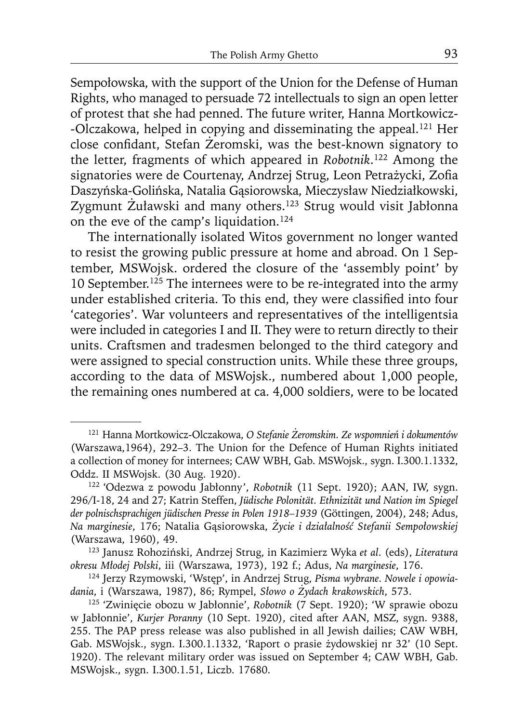Sempołowska, with the support of the Union for the Defense of Human Rights, who managed to persuade 72 intellectuals to sign an open letter of protest that she had penned. The future writer, Hanna Mortkowicz- -Olczakowa, helped in copying and disseminating the appeal.<sup>121</sup> Her close confidant, Stefan Żeromski, was the best-known signatory to the letter, fragments of which appeared in *Robotnik*. 122 Among the signatories were de Courtenay, Andrzej Strug, Leon Petrażycki, Zofia Daszyńska-Golińska, Natalia Gąsiorowska, Mieczysław Niedziałkowski, Zygmunt Żuławski and many others.123 Strug would visit Jabłonna on the eve of the camp's liquidation.124

The internationally isolated Witos government no longer wanted to resist the growing public pressure at home and abroad. On 1 September, MSWojsk. ordered the closure of the 'assembly point' by 10 September.<sup>125</sup> The internees were to be re-integrated into the army under established criteria. To this end, they were classified into four 'categories'. War volunteers and representatives of the intelligentsia were included in categories I and II. They were to return directly to their units. Craftsmen and tradesmen belonged to the third category and were assigned to special construction units. While these three groups, according to the data of MSWojsk., numbered about 1,000 people, the remaining ones numbered at ca. 4,000 soldiers, were to be located

<sup>121</sup> Hanna Mortkowicz-Olczakowa, *O Stefanie Żeromskim. Ze wspomnień i dokumentów* (Warszawa,1964), 292–3. The Union for the Defence of Human Rights initiated a collection of money for internees; CAW WBH, Gab. MSWojsk., sygn. I.300.1.1332, Oddz. II MSWojsk. (30 Aug. 1920). 122 'Odezwa z powodu Jabłonny', *Robotnik* (11 Sept. 1920); AAN, IW, sygn.

<sup>296/</sup>I-18, 24 and 27; Katrin Steffen, *Jüdische Polonität. Ethnizität und Nation im Spiegel der polnischsprachigen jüdischen Presse in Polen 1918–1939* (Göttingen, 2004), 248; Adus, *Na marginesie*, 176; Natalia Gąsiorowska, *Życie i działalność Stefanii Sempołowskiej*

<sup>(</sup>Warszawa, 1960), 49. 123 Janusz Rohoziński, Andrzej Strug, in Kazimierz Wyka *et al*. (eds), *Literatura* 

<sup>&</sup>lt;sup>124</sup> Jerzy Rzymowski, 'Wstęp', in Andrzej Strug, Pisma wybrane. Nowele i opowia*dania*, i (Warszawa, 1987), 86; Rympel, *Słowo o Żydach krakowskich*, 573. 125 'Zwinięcie obozu w Jabłonnie', *Robotnik* (7 Sept. 1920); 'W sprawie obozu

w Jabłonnie', *Kurjer Poranny* (10 Sept. 1920), cited after AAN, MSZ, sygn. 9388, 255. The PAP press release was also published in all Jewish dailies; CAW WBH, Gab. MSWojsk., sygn. I.300.1.1332, 'Raport o prasie żydowskiej nr 32' (10 Sept. 1920). The relevant military order was issued on September 4; CAW WBH, Gab. MSWojsk., sygn. I.300.1.51, Liczb. 17680.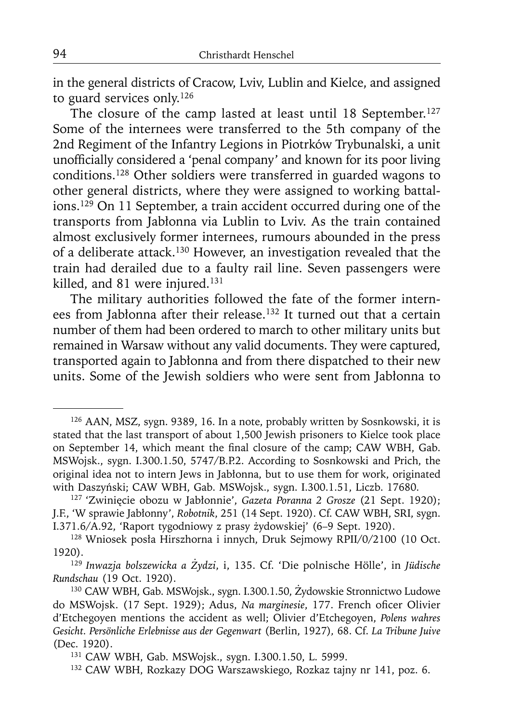in the general districts of Cracow, Lviv, Lublin and Kielce, and assigned to guard services only.126

The closure of the camp lasted at least until 18 September.<sup>127</sup> Some of the internees were transferred to the 5th company of the 2nd Regiment of the Infantry Legions in Piotrków Trybunalski, a unit unofficially considered a 'penal company' and known for its poor living conditions.128 Other soldiers were transferred in guarded wagons to other general districts, where they were assigned to working battalions.129 On 11 September, a train accident occurred during one of the transports from Jabłonna via Lublin to Lviv. As the train contained almost exclusively former internees, rumours abounded in the press of a deliberate attack.130 However, an investigation revealed that the train had derailed due to a faulty rail line. Seven passengers were killed, and 81 were injured.<sup>131</sup>

The military authorities followed the fate of the former internees from Jabłonna after their release.<sup>132</sup> It turned out that a certain number of them had been ordered to march to other military units but remained in Warsaw without any valid documents. They were captured, transported again to Jabłonna and from there dispatched to their new units. Some of the Jewish soldiers who were sent from Jabłonna to

<sup>126</sup> AAN, MSZ, sygn. 9389, 16. In a note, probably written by Sosnkowski, it is stated that the last transport of about 1,500 Jewish prisoners to Kielce took place on September 14, which meant the final closure of the camp; CAW WBH, Gab. MSWojsk., sygn. I.300.1.50, 5747/B.P.2. According to Sosnkowski and Prich, the original idea not to intern Jews in Jabłonna, but to use them for work, originated with Daszyński; CAW WBH, Gab. MSWojsk., sygn. I.300.1.51, Liczb. 17680.

<sup>127 &#</sup>x27;Zwinięcie obozu w Jabłonnie', *Gazeta Poranna 2 Grosze* (21 Sept. 1920); J.F., 'W sprawie Jabłonny', *Robotnik*, 251 (14 Sept. 1920). Cf. CAW WBH, SRI, sygn. I.371.6/A.92, 'Raport tygodniowy z prasy żydowskiej' (6–9 Sept. 1920).

<sup>128</sup> Wniosek posła Hirszhorna i innych, Druk Sejmowy RPII/0/2100 (10 Oct. 1920).

<sup>129</sup>*Inwazja bolszewicka a Żydzi*, i, 135. Cf. 'Die polnische Hölle', in *Jüdische* 

<sup>&</sup>lt;sup>130</sup> CAW WBH, Gab. MSWojsk., sygn. I.300.1.50, Żydowskie Stronnictwo Ludowe do MSWojsk. (17 Sept. 1929); Adus, *Na marginesie*, 177. French oficer Olivier d'Etchegoyen mentions the accident as well; Olivier d'Etchegoyen, *Polens wahres Gesicht. Persönliche Erlebnisse aus der Gegenwart* (Berlin, 1927)*,* 68. Cf. *La Tribune Juive* (Dec. 1920).

<sup>&</sup>lt;sup>131</sup> CAW WBH, Gab. MSWojsk., sygn. I.300.1.50, L. 5999.<br><sup>132</sup> CAW WBH, Rozkazy DOG Warszawskiego, Rozkaz tajny nr 141, poz. 6.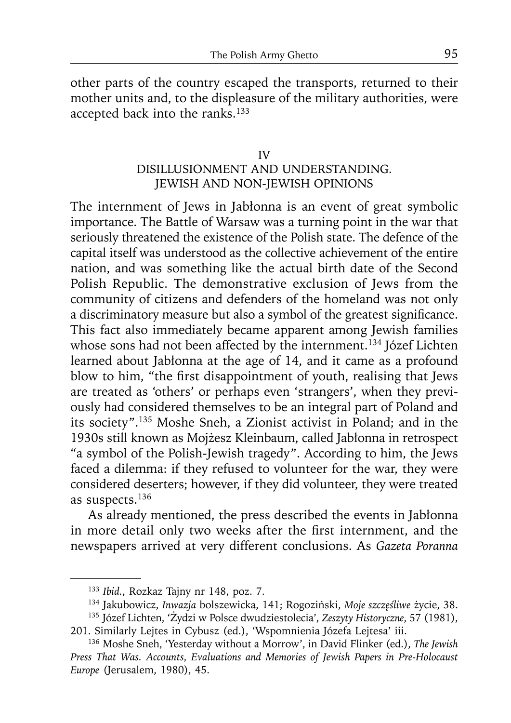other parts of the country escaped the transports, returned to their mother units and, to the displeasure of the military authorities, were accepted back into the ranks.<sup>133</sup>

# IV DISILLUSIONMENT AND UNDERSTANDING. JEWISH AND NON-JEWISH OPINIONS

The internment of Jews in Jabłonna is an event of great symbolic importance. The Battle of Warsaw was a turning point in the war that seriously threatened the existence of the Polish state. The defence of the capital itself was understood as the collective achievement of the entire nation, and was something like the actual birth date of the Second Polish Republic. The demonstrative exclusion of Jews from the community of citizens and defenders of the homeland was not only a discriminatory measure but also a symbol of the greatest significance. This fact also immediately became apparent among Jewish families whose sons had not been affected by the internment.<sup>134</sup> Józef Lichten learned about Jabłonna at the age of 14, and it came as a profound blow to him, "the first disappointment of youth, realising that Jews are treated as 'others' or perhaps even 'strangers', when they previously had considered themselves to be an integral part of Poland and its society".135 Moshe Sneh, a Zionist activist in Poland; and in the 1930s still known as Mojżesz Kleinbaum, called Jabłonna in retrospect "a symbol of the Polish-Jewish tragedy". According to him, the Jews faced a dilemma: if they refused to volunteer for the war, they were considered deserters; however, if they did volunteer, they were treated as suspects.136

As already mentioned, the press described the events in Jabłonna in more detail only two weeks after the first internment, and the newspapers arrived at very different conclusions. As *Gazeta Poranna* 

<sup>&</sup>lt;sup>133</sup> Ibid., Rozkaz Tajny nr 148, poz. 7.<br><sup>134</sup> Jakubowicz, *Inwazja* bolszewicka, 141; Rogoziński, Moje szczęśliwe życie, 38.

<sup>&</sup>lt;sup>135</sup> Józef Lichten, 'Żydzi w Polsce dwudziestolecia', *Zeszyty Historyczne*, 57 (1981), 201. Similarly Lejtes in Cybusz (ed.), 'Wspomnienia Józefa Lejtesa' iii.

<sup>136</sup> Moshe Sneh, 'Yesterday without a Morrow', in David Flinker (ed.), *The Jewish Press That Was. Accounts, Evaluations and Memories of Jewish Papers in Pre-Holocaust Europe* (Jerusalem, 1980), 45.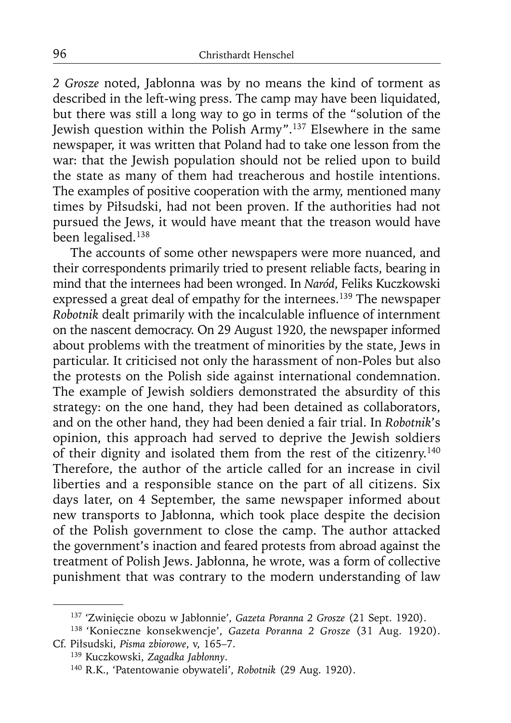*2 Grosze* noted, Jabłonna was by no means the kind of torment as described in the left-wing press. The camp may have been liquidated, but there was still a long way to go in terms of the "solution of the Jewish question within the Polish Army".137 Elsewhere in the same newspaper, it was written that Poland had to take one lesson from the war: that the Jewish population should not be relied upon to build the state as many of them had treacherous and hostile intentions. The examples of positive cooperation with the army, mentioned many times by Piłsudski, had not been proven. If the authorities had not pursued the Jews, it would have meant that the treason would have been legalised.<sup>138</sup>

The accounts of some other newspapers were more nuanced, and their correspondents primarily tried to present reliable facts, bearing in mind that the internees had been wronged. In *Naród*, Feliks Kuczkowski expressed a great deal of empathy for the internees.<sup>139</sup> The newspaper *Robotnik* dealt primarily with the incalculable influence of internment on the nascent democracy. On 29 August 1920, the newspaper informed about problems with the treatment of minorities by the state, Jews in particular. It criticised not only the harassment of non-Poles but also the protests on the Polish side against international condemnation. The example of Jewish soldiers demonstrated the absurdity of this strategy: on the one hand, they had been detained as collaborators, and on the other hand, they had been denied a fair trial. In *Robotnik*'s opinion, this approach had served to deprive the Jewish soldiers of their dignity and isolated them from the rest of the citizenry.140 Therefore, the author of the article called for an increase in civil liberties and a responsible stance on the part of all citizens. Six days later, on 4 September, the same newspaper informed about new transports to Jabłonna, which took place despite the decision of the Polish government to close the camp. The author attacked the government's inaction and feared protests from abroad against the treatment of Polish Jews. Jabłonna, he wrote, was a form of collective punishment that was contrary to the modern understanding of law

<sup>137 &#</sup>x27;Zwinięcie obozu w Jabłonnie', *Gazeta Poranna 2 Grosze* (21 Sept. 1920). 138 'Konieczne konsekwencje', *Gazeta Poranna 2 Grosze* (31 Aug. 1920). Cf. Piłsudski, *Pisma zbiorowe*, v, 165–7. 139 Kuczkowski, *Zagadka Jabłonny*.

<sup>140</sup> R.K., 'Patentowanie obywateli', *Robotnik* (29 Aug. 1920).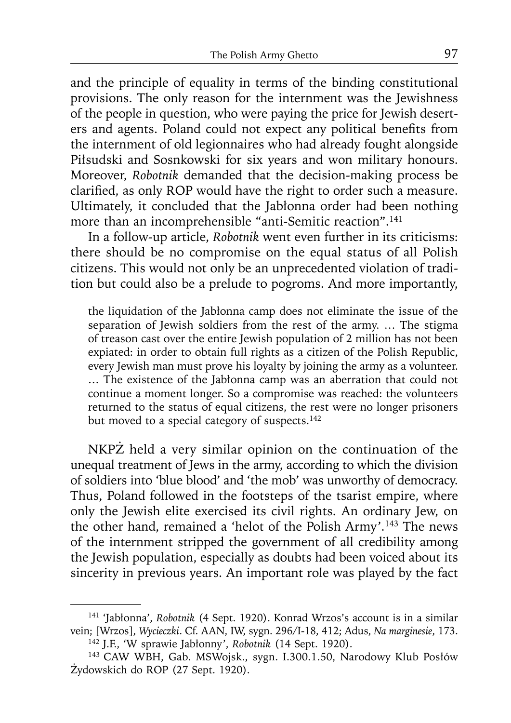and the principle of equality in terms of the binding constitutional provisions. The only reason for the internment was the Jewishness of the people in question, who were paying the price for Jewish deserters and agents. Poland could not expect any political benefits from the internment of old legionnaires who had already fought alongside Piłsudski and Sosnkowski for six years and won military honours. Moreover, *Robotnik* demanded that the decision-making process be clarified, as only ROP would have the right to order such a measure. Ultimately, it concluded that the Jabłonna order had been nothing more than an incomprehensible "anti-Semitic reaction".<sup>141</sup>

In a follow-up article, *Robotnik* went even further in its criticisms: there should be no compromise on the equal status of all Polish citizens. This would not only be an unprecedented violation of tradition but could also be a prelude to pogroms. And more importantly,

the liquidation of the Jabłonna camp does not eliminate the issue of the separation of Jewish soldiers from the rest of the army. … The stigma of treason cast over the entire Jewish population of 2 million has not been expiated: in order to obtain full rights as a citizen of the Polish Republic, every Jewish man must prove his loyalty by joining the army as a volunteer. … The existence of the Jabłonna camp was an aberration that could not continue a moment longer. So a compromise was reached: the volunteers returned to the status of equal citizens, the rest were no longer prisoners but moved to a special category of suspects.<sup>142</sup>

NKPŻ held a very similar opinion on the continuation of the unequal treatment of Jews in the army, according to which the division of soldiers into 'blue blood' and 'the mob' was unworthy of democracy. Thus, Poland followed in the footsteps of the tsarist empire, where only the Jewish elite exercised its civil rights. An ordinary Jew, on the other hand, remained a 'helot of the Polish Army'.143 The news of the internment stripped the government of all credibility among the Jewish population, especially as doubts had been voiced about its sincerity in previous years. An important role was played by the fact

<sup>141 &#</sup>x27;Jabłonna', *Robotnik* (4 Sept. 1920). Konrad Wrzos's account is in a similar vein; [Wrzos], *Wycieczki*. Cf. AAN, IW, sygn. 296/I-18, 412; Adus, *Na marginesie*, 173. 142 J.F., 'W sprawie Jabłonny', *Robotnik* (14 Sept. 1920).

<sup>143</sup> CAW WBH, Gab. MSWojsk., sygn. I.300.1.50, Narodowy Klub Posłów Żydowskich do ROP (27 Sept. 1920).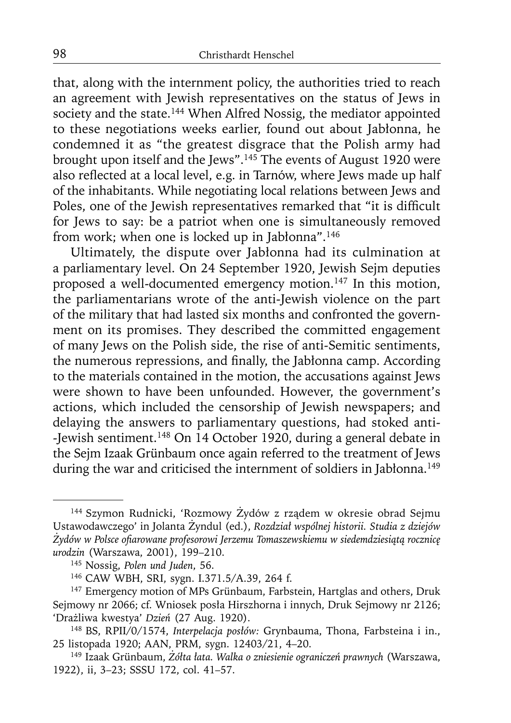that, along with the internment policy, the authorities tried to reach an agreement with Jewish representatives on the status of Jews in society and the state.<sup>144</sup> When Alfred Nossig, the mediator appointed to these negotiations weeks earlier, found out about Jabłonna, he condemned it as "the greatest disgrace that the Polish army had brought upon itself and the Jews".<sup>145</sup> The events of August 1920 were also reflected at a local level, e.g. in Tarnów, where Jews made up half of the inhabitants. While negotiating local relations between Jews and Poles, one of the Jewish representatives remarked that "it is difficult for Jews to say: be a patriot when one is simultaneously removed from work; when one is locked up in Jabłonna".146

Ultimately, the dispute over Jabłonna had its culmination at a parliamentary level. On 24 September 1920, Jewish Sejm deputies proposed a well-documented emergency motion.<sup>147</sup> In this motion, the parliamentarians wrote of the anti-Jewish violence on the part of the military that had lasted six months and confronted the government on its promises. They described the committed engagement of many Jews on the Polish side, the rise of anti-Semitic sentiments, the numerous repressions, and finally, the Jabłonna camp. According to the materials contained in the motion, the accusations against Jews were shown to have been unfounded. However, the government's actions, which included the censorship of Jewish newspapers; and delaying the answers to parliamentary questions, had stoked anti- -Jewish sentiment.148 On 14 October 1920, during a general debate in the Sejm Izaak Grünbaum once again referred to the treatment of Jews during the war and criticised the internment of soldiers in Jabłonna.<sup>149</sup>

<sup>144</sup> Szymon Rudnicki, 'Rozmowy Żydów z rządem w okresie obrad Sejmu Ustawodawczego' in Jolanta Żyndul (ed.), *Rozdział wspólnej historii. Studia z dziejów Żydów w Polsce ofi arowane profesorowi Jerzemu Tomaszewskiemu w siedemdziesiątą rocznicę urodzin* (Warszawa, 2001), 199–210.

<sup>&</sup>lt;sup>146</sup> CAW WBH, SRI, sygn. I.371.5/A.39, 264 f.

<sup>&</sup>lt;sup>147</sup> Emergency motion of MPs Grünbaum, Farbstein, Hartglas and others, Druk Sejmowy nr 2066; cf. Wniosek posła Hirszhorna i innych, Druk Sejmowy nr 2126; 'Drażliwa kwestya' *Dzień* (27 Aug. 1920). 148 BS, RPII/0/1574, *Interpelacja posłów:* Grynbauma, Thona, Farbsteina i in.,

<sup>25</sup> listopada 1920; AAN, PRM, sygn. 12403/21, 4–20.

<sup>149</sup> Izaak Grünbaum, *Żółta łata. Walka o zniesienie ograniczeń prawnych* (Warszawa, 1922), ii, 3–23; SSSU 172, col. 41–57.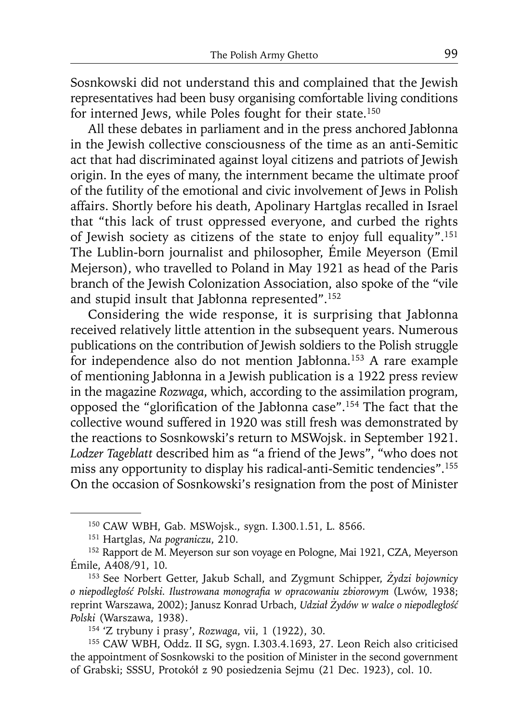Sosnkowski did not understand this and complained that the Jewish representatives had been busy organising comfortable living conditions for interned Jews, while Poles fought for their state.<sup>150</sup>

All these debates in parliament and in the press anchored Jabłonna in the Jewish collective consciousness of the time as an anti-Semitic act that had discriminated against loyal citizens and patriots of Jewish origin. In the eyes of many, the internment became the ultimate proof of the futility of the emotional and civic involvement of Jews in Polish affairs. Shortly before his death, Apolinary Hartglas recalled in Israel that "this lack of trust oppressed everyone, and curbed the rights of Jewish society as citizens of the state to enjoy full equality".151 The Lublin-born journalist and philosopher, Émile Meyerson (Emil Mejerson), who travelled to Poland in May 1921 as head of the Paris branch of the Jewish Colonization Association, also spoke of the "vile and stupid insult that Jabłonna represented".152

Considering the wide response, it is surprising that Jabłonna received relatively little attention in the subsequent years. Numerous publications on the contribution of Jewish soldiers to the Polish struggle for independence also do not mention Jabłonna.<sup>153</sup> A rare example of mentioning Jabłonna in a Jewish publication is a 1922 press review in the magazine *Rozwaga*, which, according to the assimilation program, opposed the "glorification of the Jabłonna case".<sup>154</sup> The fact that the collective wound suffered in 1920 was still fresh was demonstrated by the reactions to Sosnkowski's return to MSWojsk. in September 1921. *Lodzer Tageblatt* described him as "a friend of the Jews", "who does not miss any opportunity to display his radical-anti-Semitic tendencies".155 On the occasion of Sosnkowski's resignation from the post of Minister

<sup>150</sup> CAW WBH, Gab. MSWojsk., sygn. I.300.1.51, L. 8566. 151 Hartglas, *Na pograniczu*, 210.

<sup>152</sup> Rapport de M. Meyerson sur son voyage en Pologne, Mai 1921, CZA, Meyerson Émile, A408/91, 10.

<sup>153</sup> See Norbert Getter, Jakub Schall, and Zygmunt Schipper, *Żydzi bojownicy o niepodległość Polski. Ilustrowana monografi a w opracowaniu zbiorowym* (Lwów, 1938; reprint Warszawa, 2002); Janusz Konrad Urbach, *Udział Żydów w walce o niepodległość Polski* (Warszawa, 1938).

<sup>154 &#</sup>x27;Z trybuny i prasy', *Rozwaga*, vii, 1 (1922), 30.

<sup>155</sup> CAW WBH, Oddz. II SG, sygn. I.303.4.1693, 27. Leon Reich also criticised the appointment of Sosnkowski to the position of Minister in the second government of Grabski; SSSU, Protokół z 90 posiedzenia Sejmu (21 Dec. 1923), col. 10.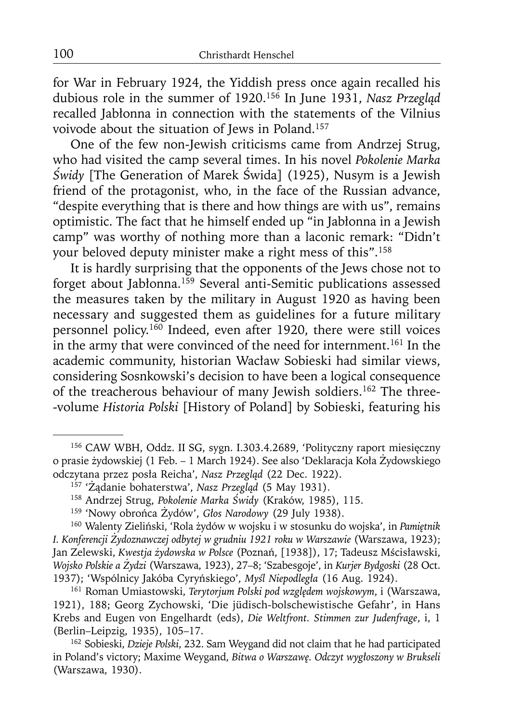for War in February 1924, the Yiddish press once again recalled his dubious role in the summer of 1920.156 In June 1931, *Nasz Przegląd* recalled Jabłonna in connection with the statements of the Vilnius voivode about the situation of Jews in Poland.157

One of the few non-Jewish criticisms came from Andrzej Strug, who had visited the camp several times. In his novel *Pokolenie Marka Świdy* [The Generation of Marek Świda] (1925), Nusym is a Jewish friend of the protagonist, who, in the face of the Russian advance, "despite everything that is there and how things are with us", remains optimistic. The fact that he himself ended up "in Jabłonna in a Jewish camp" was worthy of nothing more than a laconic remark: "Didn't your beloved deputy minister make a right mess of this".158

It is hardly surprising that the opponents of the Jews chose not to forget about Jabłonna.159 Several anti-Semitic publications assessed the measures taken by the military in August 1920 as having been necessary and suggested them as guidelines for a future military personnel policy.<sup>160</sup> Indeed, even after 1920, there were still voices in the army that were convinced of the need for internment.<sup>161</sup> In the academic community, historian Wacław Sobieski had similar views, considering Sosnkowski's decision to have been a logical consequence of the treacherous behaviour of many Jewish soldiers.<sup>162</sup> The three--volume *Historia Polski* [History of Poland] by Sobieski, featuring his

<sup>156</sup> CAW WBH, Oddz. II SG, sygn. I.303.4.2689, 'Polityczny raport miesięczny o prasie żydowskiej (1 Feb. – 1 March 1924). See also 'Deklaracja Koła Żydowskiego odczytana przez posła Reicha', Nasz Przegląd (22 Dec. 1922).

<sup>&</sup>lt;sup>157</sup> 'Żądanie bohaterstwa', Nasz Przegląd (5 May 1931).<br><sup>158</sup> Andrzej Strug, Pokolenie Marka Świdy (Kraków, 1985), 115.<br><sup>159</sup> 'Nowy obrońca Żydów', Głos Narodowy (29 July 1938).<br><sup>160</sup> Walenty Zieliński, 'Rola żydów w wojs *I. Konferencji Żydoznawczej odbytej w grudniu 1921 roku w Warszawie* (Warszawa, 1923); Jan Zelewski, *Kwestja żydowska w Polsce* (Poznań, [1938]), 17; Tadeusz Mścisławski, *Wojsko Polskie a Żydzi* (Warszawa, 1923), 27–8; 'Szabesgoje', in *Kurjer Bydgoski* (28 Oct.

<sup>&</sup>lt;sup>161</sup> Roman Umiastowski, *Terytorjum Polski pod względem wojskowym*, i (Warszawa, 1921), 188; Georg Zychowski, 'Die jüdisch-bolschewistische Gefahr', in Hans Krebs and Eugen von Engelhardt (eds), *Die Weltfront. Stimmen zur Judenfrage*, i, 1 (Berlin–Leipzig, 1935), 105–17.

<sup>162</sup> Sobieski, *Dzieje Polski*, 232. Sam Weygand did not claim that he had participated in Poland's victory; Maxime Weygand, *Bitwa o Warszawę. Odczyt wygłoszony w Brukseli* (Warszawa, 1930).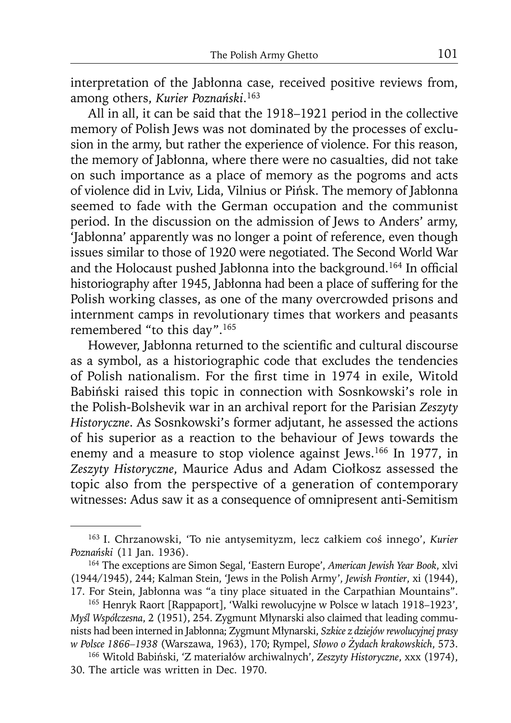interpretation of the Jabłonna case, received positive reviews from, among others, *Kurier Poznański*. 163

All in all, it can be said that the 1918–1921 period in the collective memory of Polish Jews was not dominated by the processes of exclusion in the army, but rather the experience of violence. For this reason, the memory of Jabłonna, where there were no casualties, did not take on such importance as a place of memory as the pogroms and acts of violence did in Lviv, Lida, Vilnius or Pińsk. The memory of Jabłonna seemed to fade with the German occupation and the communist period. In the discussion on the admission of Jews to Anders' army, 'Jabłonna' apparently was no longer a point of reference, even though issues similar to those of 1920 were negotiated. The Second World War and the Holocaust pushed Jabłonna into the background.<sup>164</sup> In official historiography after 1945, Jabłonna had been a place of suffering for the Polish working classes, as one of the many overcrowded prisons and internment camps in revolutionary times that workers and peasants remembered "to this day".165

However, Jabłonna returned to the scientific and cultural discourse as a symbol, as a historiographic code that excludes the tendencies of Polish nationalism. For the first time in 1974 in exile, Witold Babiński raised this topic in connection with Sosnkowski's role in the Polish-Bolshevik war in an archival report for the Parisian *Zeszyty Historyczne*. As Sosnkowski's former adjutant, he assessed the actions of his superior as a reaction to the behaviour of Jews towards the enemy and a measure to stop violence against Jews.166 In 1977, in *Zeszyty Historyczne*, Maurice Adus and Adam Ciołkosz assessed the topic also from the perspective of a generation of contemporary witnesses: Adus saw it as a consequence of omnipresent anti-Semitism

<sup>163</sup> I. Chrzanowski, 'To nie antysemityzm, lecz całkiem coś innego', *Kurier Poznański* (11 Jan. 1936). 164 The exceptions are Simon Segal, 'Eastern Europe', *American Jewish Year Book*, xlvi

<sup>(1944/1945), 244;</sup> Kalman Stein, 'Jews in the Polish Army', *Jewish Frontier*, xi (1944), 17. For Stein, Jabłonna was "a tiny place situated in the Carpathian Mountains".

<sup>&</sup>lt;sup>165</sup> Henryk Raort [Rappaport], 'Walki rewolucyjne w Polsce w latach 1918–1923', *Myśl Współczesna*, 2 (1951), 254. Zygmunt Młynarski also claimed that leading communists had been interned in Jabłonna; Zygmunt Młynarski, *Szkice z dziejów rewolucyjnej prasy w Polsce 1866–1938* (Warszawa, 1963), 170; Rympel, *Słowo o Żydach krakowskich*, 573. 166 Witold Babiński, 'Z materiałów archiwalnych', *Zeszyty Historyczne*, xxx (1974),

<sup>30.</sup> The article was written in Dec. 1970.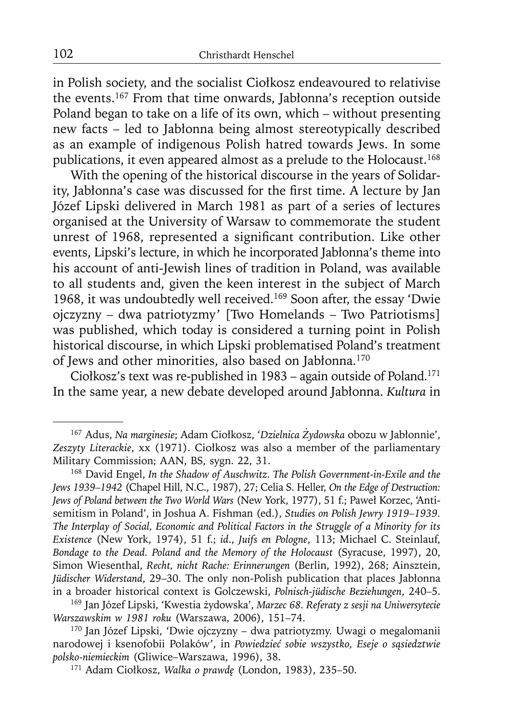in Polish society, and the socialist Ciołkosz endeavoured to relativise the events.167 From that time onwards, Jabłonna's reception outside Poland began to take on a life of its own, which – without presenting new facts – led to Jabłonna being almost stereotypically described as an example of indigenous Polish hatred towards Jews. In some publications, it even appeared almost as a prelude to the Holocaust.<sup>168</sup>

With the opening of the historical discourse in the years of Solidarity, Jabłonna's case was discussed for the first time. A lecture by Jan Józef Lipski delivered in March 1981 as part of a series of lectures organised at the University of Warsaw to commemorate the student unrest of 1968, represented a significant contribution. Like other events, Lipski's lecture, in which he incorporated Jabłonna's theme into his account of anti-Jewish lines of tradition in Poland, was available to all students and, given the keen interest in the subject of March 1968, it was undoubtedly well received.169 Soon after, the essay 'Dwie ojczyzny – dwa patriotyzmy' [Two Homelands – Two Patriotisms] was published, which today is considered a turning point in Polish historical discourse, in which Lipski problematised Poland's treatment of Jews and other minorities, also based on Jabłonna.170

Ciołkosz's text was re-published in 1983 – again outside of Poland.171 In the same year, a new debate developed around Jabłonna. *Kultura* in

<sup>167</sup> Adus, *Na marginesie*; Adam Ciołkosz, '*Dzielnica Żydowska* obozu w Jabłonnie', *Zeszyty Literackie*, xx (1971). Ciołkosz was also a member of the parliamentary Military Commission; AAN, BS, sygn. 22, 31.

<sup>168</sup> David Engel, *In the Shadow of Auschwitz. The Polish Government-in-Exile and the Jews 1939–1942* (Chapel Hill, N.C., 1987), 27; Celia S. Heller, *On the Edge of Destruction: Jews of Poland between the Two World Wars* (New York, 1977), 51 f.; Paweł Korzec, 'Antisemitism in Poland', in Joshua A. Fishman (ed.), *Studies on Polish Jewry 1919–1939. The Interplay of Social, Economic and Political Factors in the Struggle of a Minority for its Existence* (New York, 1974), 51 f.; *id*., *Juifs en Pologne*, 113; Michael C. Steinlauf, *Bondage to the Dead. Poland and the Memory of the Holocaust* (Syracuse, 1997), 20, Simon Wiesenthal, *Recht, nicht Rache: Erinnerungen* (Berlin, 1992), 268; Ainsztein, *Jüdischer Widerstand*, 29–30. The only non-Polish publication that places Jabłonna in a broader historical context is Golczewski, *Polnisch-jüdische Beziehungen*, 240–5. 169 Jan Józef Lipski, 'Kwestia żydowska', *Marzec 68. Referaty z sesji na Uniwersytecie* 

*Warszawskim w 1981 roku* (Warszawa, 2006), 151–74. 170 Jan Józef Lipski, 'Dwie ojczyzny – dwa patriotyzmy. Uwagi o megalomanii

narodowej i ksenofobii Polaków', in *Powiedzieć sobie wszystko, Eseje o sąsiedztwie polsko-niemieckim* (Gliwice–Warszawa, 1996), 38. 171 Adam Ciołkosz, *Walka o prawdę* (London, 1983), 235–50.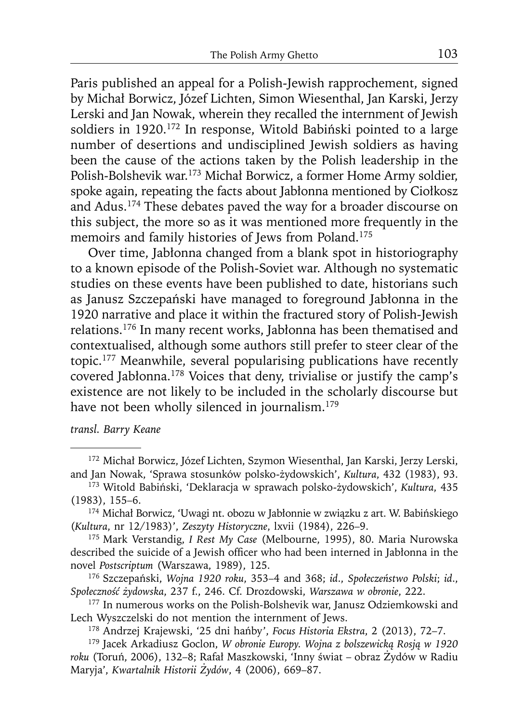Paris published an appeal for a Polish-Jewish rapprochement, signed by Michał Borwicz, Józef Lichten, Simon Wiesenthal, Jan Karski, Jerzy Lerski and Jan Nowak, wherein they recalled the internment of Jewish soldiers in 1920.<sup>172</sup> In response, Witold Babiński pointed to a large number of desertions and undisciplined Jewish soldiers as having been the cause of the actions taken by the Polish leadership in the Polish-Bolshevik war.173 Michał Borwicz, a former Home Army soldier, spoke again, repeating the facts about Jabłonna mentioned by Ciołkosz and Adus.174 These debates paved the way for a broader discourse on this subject, the more so as it was mentioned more frequently in the memoirs and family histories of Jews from Poland.<sup>175</sup>

Over time, Jabłonna changed from a blank spot in historiography to a known episode of the Polish-Soviet war. Although no systematic studies on these events have been published to date, historians such as Janusz Szczepański have managed to foreground Jabłonna in the 1920 narrative and place it within the fractured story of Polish-Jewish relations.176 In many recent works, Jabłonna has been thematised and contextualised, although some authors still prefer to steer clear of the topic.177 Meanwhile, several popularising publications have recently covered Jabłonna.<sup>178</sup> Voices that deny, trivialise or justify the camp's existence are not likely to be included in the scholarly discourse but have not been wholly silenced in journalism.<sup>179</sup>

#### *transl. Barry Keane*

<sup>172</sup> Michał Borwicz, Józef Lichten, Szymon Wiesenthal, Jan Karski, Jerzy Lerski, and Jan Nowak, 'Sprawa stosunków polsko-żydowskich', *Kultura*, 432 (1983), 93. 173 Witold Babiński, 'Deklaracja w sprawach polsko-żydowskich', *Kultura*, 435

<sup>(1983), 155–6. 174</sup> Michał Borwicz, 'Uwagi nt. obozu w Jabłonnie w związku z art. W. Babińskiego

<sup>(</sup>*Kultura*, nr 12/1983)', *Zeszyty Historyczne*, lxvii (1984), 226–9. 175 Mark Verstandig, *I Rest My Case* (Melbourne, 1995), 80. Maria Nurowska

described the suicide of a Jewish officer who had been interned in Jabłonna in the novel *Postscriptum* (Warszawa, 1989), 125.

<sup>176</sup> Szczepański, *Wojna 1920 roku*, 353–4 and 368; *id*., *Społeczeństwo Polski*; *id*., *Społeczność <sup>ż</sup>ydowska*, 237 f., 246. Cf. Drozdowski, *Warszawa w obronie*, 222. 177 In numerous works on the Polish-Bolshevik war, Janusz Odziemkowski and

Lech Wyszczelski do not mention the internment of Jews.<br><sup>178</sup> Andrzej Krajewski, '25 dni hańby', *Focus Historia Ekstra*, 2 (2013), 72–7.<br><sup>179</sup> Jacek Arkadiusz Goclon, *W obronie Europy. Wojna z bolszewicką Rosją w 1920* 

*roku* (Toruń, 2006), 132–8; Rafał Maszkowski, 'Inny świat – obraz Żydów w Radiu Maryja', *Kwartalnik Historii Żydów*, 4 (2006), 669–87.